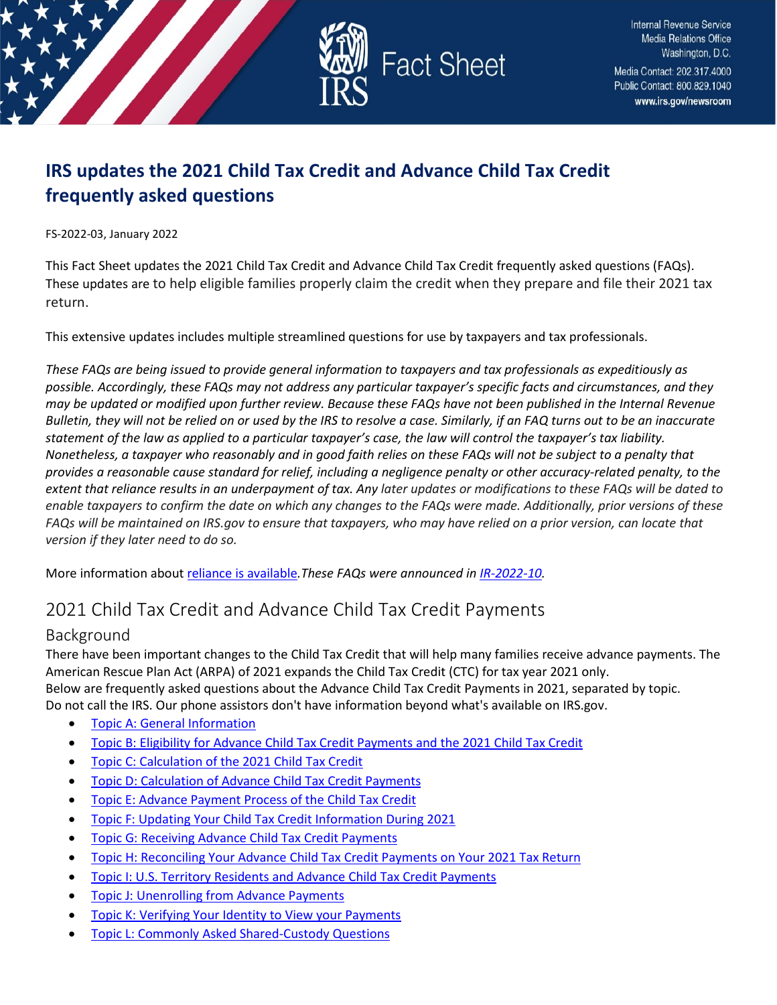

# **IRS updates the 2021 Child Tax Credit and Advance Child Tax Credit frequently asked questions**

FS-2022-03, January 2022

This Fact Sheet updates the 2021 Child Tax Credit and Advance Child Tax Credit frequently asked questions (FAQs). These updates are to help eligible families properly claim the credit when they prepare and file their 2021 tax return.

This extensive updates includes multiple streamlined questions for use by taxpayers and tax professionals.

*These FAQs are being issued to provide general information to taxpayers and tax professionals as expeditiously as possible. Accordingly, these FAQs may not address any particular taxpayer's specific facts and circumstances, and they may be updated or modified upon further review. Because these FAQs have not been published in the Internal Revenue Bulletin, they will not be relied on or used by the IRS to resolve a case. Similarly, if an FAQ turns out to be an inaccurate statement of the law as applied to a particular taxpayer's case, the law will control the taxpayer's tax liability. Nonetheless, a taxpayer who reasonably and in good faith relies on these FAQs will not be subject to a penalty that provides a reasonable cause standard for relief, including a negligence penalty or other accuracy-related penalty, to the extent that reliance results in an underpayment of tax. Any later updates or modifications to these FAQs will be dated to enable taxpayers to confirm the date on which any changes to the FAQs were made. Additionally, prior versions of these FAQs will be maintained on IRS.gov to ensure that taxpayers, who may have relied on a prior version, can locate that version if they later need to do so.*

More information abou[t reliance is available](https://www.irs.gov/newsroom/general-overview-of-taxpayer-reliance-on-guidance-published-in-the-internal-revenue-bulletin-and-faqs)*.These FAQs were announced in [IR-2022-10.](https://www.irs.gov/newsroom/irs-updates-faqs-for-2021-child-tax-credit-and-advance-child-tax-credit-payments)* 

# 2021 Child Tax Credit and Advance Child Tax Credit Payments

## Background

There have been important changes to the Child Tax Credit that will help many families receive advance payments. The American Rescue Plan Act (ARPA) of 2021 expands the Child Tax Credit (CTC) for tax year 2021 only. Below are frequently asked questions about the Advance Child Tax Credit Payments in 2021, separated by topic. Do not call the IRS. Our phone assistors don't have information beyond what's available on IRS.gov.

- [Topic A: General Information](#page-1-0)
- [Topic B: Eligibility for Advance Child Tax Credit Payments and the 2021 Child Tax Credit](#page-4-0)
- [Topic C: Calculation of the 2021 Child Tax Credit](#page-6-0)
- [Topic D: Calculation of Advance Child Tax Credit Payments](#page-7-0)
- [Topic E: Advance Payment Process of the Child Tax Credit](#page-7-1)
- [Topic F: Updating Your Child Tax Credit Information During 2021](#page-8-0)
- [Topic G: Receiving Advance Child Tax Credit Payments](#page-10-0)
- [Topic H: Reconciling Your Advance Child Tax Credit Payments on Your 2021 Tax Return](#page-12-0)
- [Topic I: U.S. Territory Residents and Advance Child Tax Credit Payments](#page-14-0)
- [Topic J: Unenrolling from Advance Payments](#page-15-0)
- [Topic K: Verifying Your Identity to View your Payments](#page-16-0)
- **[Topic L: Commonly Asked Shared-Custody Questions](#page-17-0)**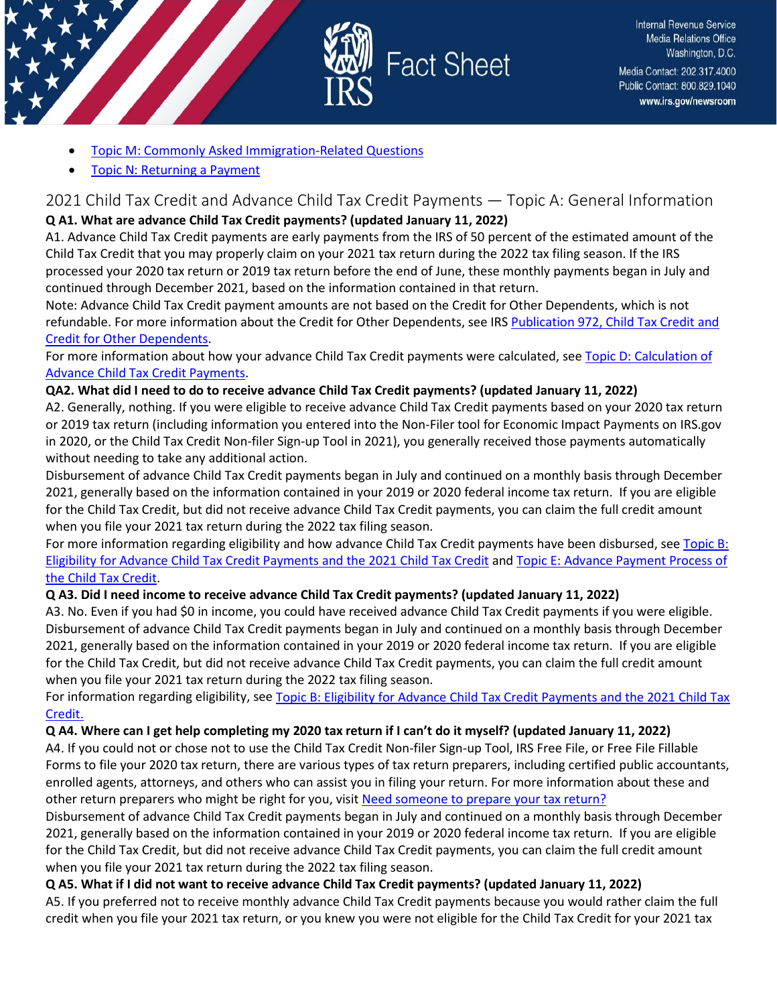

- [Topic M: Commonly Asked Immigration-Related Questions](#page-18-0)
- [Topic N: Returning a Payment](#page-19-0)

### <span id="page-1-0"></span>2021 Child Tax Credit and Advance Child Tax Credit Payments — Topic A: General Information **Q A1. What are advance Child Tax Credit payments? (updated January 11, 2022)**

A1. Advance Child Tax Credit payments are early payments from the IRS of 50 percent of the estimated amount of the Child Tax Credit that you may properly claim on your 2021 tax return during the 2022 tax filing season. If the IRS processed your 2020 tax return or 2019 tax return before the end of June, these monthly payments began in July and continued through December 2021, based on the information contained in that return.

Note: Advance Child Tax Credit payment amounts are not based on the Credit for Other Dependents, which is not refundable. For more information about the Credit for Other Dependents, see IRS [Publication 972, Child Tax Credit and](https://www.irs.gov/pub/irs-pdf/p972.pdf)  [Credit for Other Dependents.](https://www.irs.gov/pub/irs-pdf/p972.pdf)

For more information about how your advance Child Tax Credit payments were calculated, see Topic D: Calculation of [Advance Child Tax Credit Payments.](https://www.irs.gov/credits-deductions/2021-child-tax-credit-and-advance-child-tax-credit-payments-topic-d-calculation-of-advance-child-tax-credit-payments)

### **QA2. What did I need to do to receive advance Child Tax Credit payments? (updated January 11, 2022)**

A2. Generally, nothing. If you were eligible to receive advance Child Tax Credit payments based on your 2020 tax return or 2019 tax return (including information you entered into the Non-Filer tool for Economic Impact Payments on IRS.gov in 2020, or the Child Tax Credit Non-filer Sign-up Tool in 2021), you generally received those payments automatically without needing to take any additional action.

Disbursement of advance Child Tax Credit payments began in July and continued on a monthly basis through December 2021, generally based on the information contained in your 2019 or 2020 federal income tax return. If you are eligible for the Child Tax Credit, but did not receive advance Child Tax Credit payments, you can claim the full credit amount when you file your 2021 tax return during the 2022 tax filing season.

For more information regarding eligibility and how advance Child Tax Credit payments have been disbursed, see Topic B: [Eligibility for Advance Child Tax Credit Payments and the 2021 Child Tax Credit](https://www.irs.gov/credits-deductions/2021-child-tax-credit-and-advance-child-tax-credit-payments-topic-b-eligibility-for-advance-child-tax-credit-payments-and-the-2021-child-tax-credit) and [Topic E: Advance Payment Process of](https://www.irs.gov/credits-deductions/2021-child-tax-credit-and-advance-child-tax-credit-payments-topic-e-advance-payment-process-of-the-child-tax-credit)  [the Child Tax Credit.](https://www.irs.gov/credits-deductions/2021-child-tax-credit-and-advance-child-tax-credit-payments-topic-e-advance-payment-process-of-the-child-tax-credit)

## **Q A3. Did I need income to receive advance Child Tax Credit payments? (updated January 11, 2022)**

A3. No. Even if you had \$0 in income, you could have received advance Child Tax Credit payments if you were eligible. Disbursement of advance Child Tax Credit payments began in July and continued on a monthly basis through December 2021, generally based on the information contained in your 2019 or 2020 federal income tax return. If you are eligible for the Child Tax Credit, but did not receive advance Child Tax Credit payments, you can claim the full credit amount when you file your 2021 tax return during the 2022 tax filing season.

For information regarding eligibility, see [Topic B: Eligibility for Advance Child Tax Credit Payments and the 2021 Child Tax](https://www.irs.gov/credits-deductions/2021-child-tax-credit-and-advance-child-tax-credit-payments-topic-b-eligibility-for-advance-child-tax-credit-payments-and-the-2021-child-tax-credit)  [Credit.](https://www.irs.gov/credits-deductions/2021-child-tax-credit-and-advance-child-tax-credit-payments-topic-b-eligibility-for-advance-child-tax-credit-payments-and-the-2021-child-tax-credit)

#### **Q A4. Where can I get help completing my 2020 tax return if I can't do it myself? (updated January 11, 2022)**

A4. If you could not or chose not to use the Child Tax Credit Non-filer Sign-up Tool, IRS Free File, or Free File Fillable Forms to file your 2020 tax return, there are various types of tax return preparers, including certified public accountants, enrolled agents, attorneys, and others who can assist you in filing your return. For more information about these and other return preparers who might be right for you, visit [Need someone to prepare your tax return?](https://www.irs.gov/tax-professionals/choosing-a-tax-professional)

Disbursement of advance Child Tax Credit payments began in July and continued on a monthly basis through December 2021, generally based on the information contained in your 2019 or 2020 federal income tax return. If you are eligible for the Child Tax Credit, but did not receive advance Child Tax Credit payments, you can claim the full credit amount when you file your 2021 tax return during the 2022 tax filing season.

#### **Q A5. What if I did not want to receive advance Child Tax Credit payments? (updated January 11, 2022)**

A5. If you preferred not to receive monthly advance Child Tax Credit payments because you would rather claim the full credit when you file your 2021 tax return, or you knew you were not eligible for the Child Tax Credit for your 2021 tax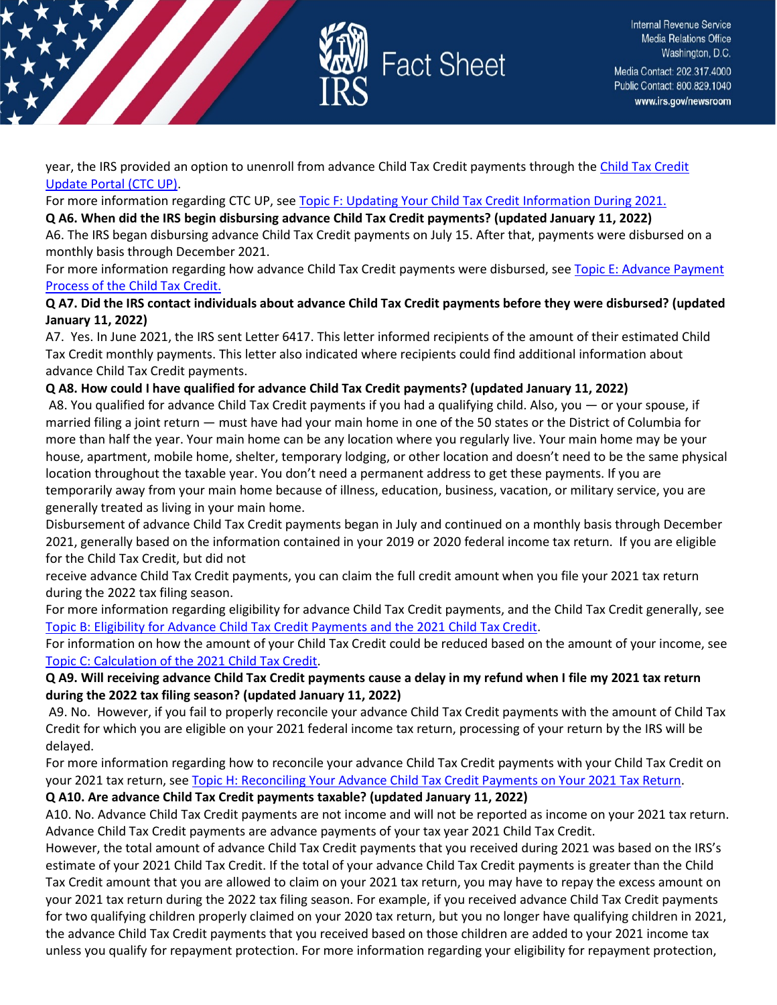

year, the IRS provided an option to unenroll from advance [Child Tax Credit](https://www.irs.gov/credits-deductions/child-tax-credit-update-portal) payments through the Child Tax Credit [Update Portal \(CTC UP\).](https://www.irs.gov/credits-deductions/child-tax-credit-update-portal)

For more information regarding CTC UP, see [Topic F: Updating Your Child Tax Credit Information During 2021.](https://www.irs.gov/credits-deductions/2021-child-tax-credit-and-advance-child-tax-credit-payments-topic-f-updating-your-child-tax-credit-information-during-2021)

#### **Q A6. When did the IRS begin disbursing advance Child Tax Credit payments? (updated January 11, 2022)**

A6. The IRS began disbursing advance Child Tax Credit payments on July 15. After that, payments were disbursed on a monthly basis through December 2021.

For more information regarding how advance Child Tax Credit payments were disbursed, see Topic E: Advance Payment [Process of the Child Tax Credit.](https://www.irs.gov/credits-deductions/2021-child-tax-credit-and-advance-child-tax-credit-payments-topic-e-advance-payment-process-of-the-child-tax-credit)

#### **Q A7. Did the IRS contact individuals about advance Child Tax Credit payments before they were disbursed? (updated January 11, 2022)**

A7. Yes. In June 2021, the IRS sent Letter 6417. This letter informed recipients of the amount of their estimated Child Tax Credit monthly payments. This letter also indicated where recipients could find additional information about advance Child Tax Credit payments.

### **Q A8. How could I have qualified for advance Child Tax Credit payments? (updated January 11, 2022)**

A8. You qualified for advance Child Tax Credit payments if you had a qualifying child. Also, you — or your spouse, if married filing a joint return — must have had your main home in one of the 50 states or the District of Columbia for more than half the year. Your main home can be any location where you regularly live. Your main home may be your house, apartment, mobile home, shelter, temporary lodging, or other location and doesn't need to be the same physical location throughout the taxable year. You don't need a permanent address to get these payments. If you are temporarily away from your main home because of illness, education, business, vacation, or military service, you are generally treated as living in your main home.

Disbursement of advance Child Tax Credit payments began in July and continued on a monthly basis through December 2021, generally based on the information contained in your 2019 or 2020 federal income tax return. If you are eligible for the Child Tax Credit, but did not

receive advance Child Tax Credit payments, you can claim the full credit amount when you file your 2021 tax return during the 2022 tax filing season.

For more information regarding eligibility for advance Child Tax Credit payments, and the Child Tax Credit generally, see [Topic B: Eligibility for Advance Child Tax Credit Payments and the 2021 Child Tax Credit.](https://www.irs.gov/credits-deductions/2021-child-tax-credit-and-advance-child-tax-credit-payments-topic-b-eligibility-for-advance-child-tax-credit-payments-and-the-2021-child-tax-credit)

For information on how the amount of your Child Tax Credit could be reduced based on the amount of your income, see [Topic C: Calculation of the 2021 Child Tax Credit.](https://www.irs.gov/credits-deductions/2021-child-tax-credit-and-advance-child-tax-credit-payments-topic-c-calculation-of-the-2021-child-tax-credit)

#### **Q A9. Will receiving advance Child Tax Credit payments cause a delay in my refund when I file my 2021 tax return during the 2022 tax filing season? (updated January 11, 2022)**

A9. No. However, if you fail to properly reconcile your advance Child Tax Credit payments with the amount of Child Tax Credit for which you are eligible on your 2021 federal income tax return, processing of your return by the IRS will be delayed.

For more information regarding how to reconcile your advance Child Tax Credit payments with your Child Tax Credit on your 2021 tax return, see [Topic H: Reconciling Your Advance Child Tax Credit Payments on Your 2021 Tax Return.](https://www.irs.gov/credits-deductions/2021-child-tax-credit-and-advance-child-tax-credit-payments-topic-h-reconciling-your-advance-child-tax-credit-payments-on-your-2021-tax-return)

#### **Q A10. Are advance Child Tax Credit payments taxable? (updated January 11, 2022)**

A10. No. Advance Child Tax Credit payments are not income and will not be reported as income on your 2021 tax return. Advance Child Tax Credit payments are advance payments of your tax year 2021 Child Tax Credit.

However, the total amount of advance Child Tax Credit payments that you received during 2021 was based on the IRS's estimate of your 2021 Child Tax Credit. If the total of your advance Child Tax Credit payments is greater than the Child Tax Credit amount that you are allowed to claim on your 2021 tax return, you may have to repay the excess amount on your 2021 tax return during the 2022 tax filing season. For example, if you received advance Child Tax Credit payments for two qualifying children properly claimed on your 2020 tax return, but you no longer have qualifying children in 2021, the advance Child Tax Credit payments that you received based on those children are added to your 2021 income tax unless you qualify for repayment protection. For more information regarding your eligibility for repayment protection,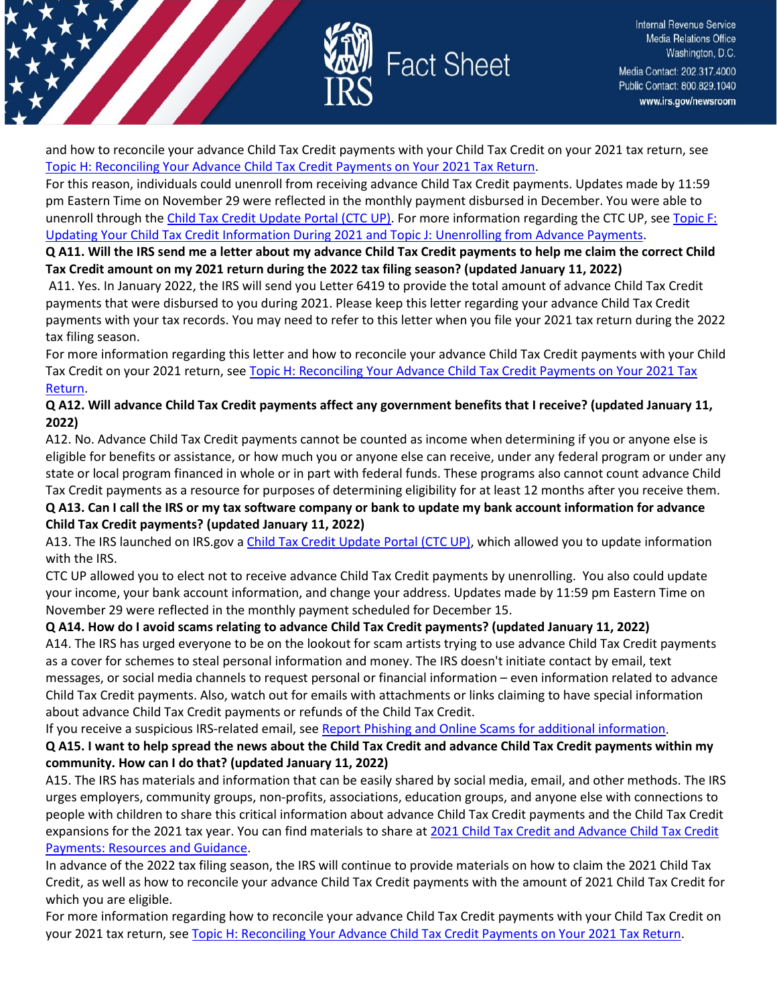

and how to reconcile your advance Child Tax Credit payments with your Child Tax Credit on your 2021 tax return, see [Topic H: Reconciling Your Advance Child Tax Credit Payments on Your 2021 Tax Return.](https://www.irs.gov/credits-deductions/2021-child-tax-credit-and-advance-child-tax-credit-payments-topic-h-reconciling-your-advance-child-tax-credit-payments-on-your-2021-tax-return)

For this reason, individuals could unenroll from receiving advance Child Tax Credit payments. Updates made by 11:59 pm Eastern Time on November 29 were reflected in the monthly payment disbursed in December. You were able to unenroll through th[e Child Tax Credit Update Portal \(CTC UP\).](https://www.irs.gov/credits-deductions/child-tax-credit-update-portal) For more information regarding the CTC UP, se[e Topic F:](https://www.irs.gov/credits-deductions/2021-child-tax-credit-and-advance-child-tax-credit-payments-topic-f-updating-your-child-tax-credit-information-during-2021)  [Updating Your Child Tax Credit Information During 2021 and Topic J: Unenrolling from Advance Payments.](https://www.irs.gov/credits-deductions/2021-child-tax-credit-and-advance-child-tax-credit-payments-topic-f-updating-your-child-tax-credit-information-during-2021)

**Q A11. Will the IRS send me a letter about my advance Child Tax Credit payments to help me claim the correct Child Tax Credit amount on my 2021 return during the 2022 tax filing season? (updated January 11, 2022)**

A11. Yes. In January 2022, the IRS will send you Letter 6419 to provide the total amount of advance Child Tax Credit payments that were disbursed to you during 2021. Please keep this letter regarding your advance Child Tax Credit payments with your tax records. You may need to refer to this letter when you file your 2021 tax return during the 2022 tax filing season.

For more information regarding this letter and how to reconcile your advance Child Tax Credit payments with your Child Tax Credit on your 2021 return, se[e Topic H: Reconciling Your Advance Child Tax Credit Payments on Your 2021 Tax](https://www.irs.gov/credits-deductions/2021-child-tax-credit-and-advance-child-tax-credit-payments-topic-h-reconciling-your-advance-child-tax-credit-payments-on-your-2021-tax-return)  [Return.](https://www.irs.gov/credits-deductions/2021-child-tax-credit-and-advance-child-tax-credit-payments-topic-h-reconciling-your-advance-child-tax-credit-payments-on-your-2021-tax-return)

### **Q A12. Will advance Child Tax Credit payments affect any government benefits that I receive? (updated January 11, 2022)**

A12. No. Advance Child Tax Credit payments cannot be counted as income when determining if you or anyone else is eligible for benefits or assistance, or how much you or anyone else can receive, under any federal program or under any state or local program financed in whole or in part with federal funds. These programs also cannot count advance Child Tax Credit payments as a resource for purposes of determining eligibility for at least 12 months after you receive them. **Q A13. Can I call the IRS or my tax software company or bank to update my bank account information for advance** 

#### **Child Tax Credit payments? (updated January 11, 2022)**

A13. The IRS launched on IRS.gov [a Child Tax Credit Update Portal \(CTC UP\),](https://www.irs.gov/credits-deductions/child-tax-credit-update-portal) which allowed you to update information with the IRS.

CTC UP allowed you to elect not to receive advance Child Tax Credit payments by unenrolling. You also could update your income, your bank account information, and change your address. Updates made by 11:59 pm Eastern Time on November 29 were reflected in the monthly payment scheduled for December 15.

#### **Q A14. How do I avoid scams relating to advance Child Tax Credit payments? (updated January 11, 2022)**

A14. The IRS has urged everyone to be on the lookout for scam artists trying to use advance Child Tax Credit payments as a cover for schemes to steal personal information and money. The IRS doesn't initiate contact by email, text messages, or social media channels to request personal or financial information – even information related to advance Child Tax Credit payments. Also, watch out for emails with attachments or links claiming to have special information about advance Child Tax Credit payments or refunds of the Child Tax Credit.

If you receive a suspicious IRS-related email, see [Report Phishing and Online Scams for additional information.](https://www.irs.gov/privacy-disclosure/report-phishing)

### **Q A15. I want to help spread the news about the Child Tax Credit and advance Child Tax Credit payments within my community. How can I do that? (updated January 11, 2022)**

A15. The IRS has materials and information that can be easily shared by social media, email, and other methods. The IRS urges employers, community groups, non-profits, associations, education groups, and anyone else with connections to people with children to share this critical information about advance Child Tax Credit payments and the Child Tax Credit expansions for the 2021 tax year. You can find materials to share at [2021 Child Tax Credit and Advance Child Tax Credit](https://www.irs.gov/newsroom/2021-child-tax-credit-and-advance-child-tax-credit-payments-resources-and-guidance)  [Payments: Resources and Guidance.](https://www.irs.gov/newsroom/2021-child-tax-credit-and-advance-child-tax-credit-payments-resources-and-guidance)

In advance of the 2022 tax filing season, the IRS will continue to provide materials on how to claim the 2021 Child Tax Credit, as well as how to reconcile your advance Child Tax Credit payments with the amount of 2021 Child Tax Credit for which you are eligible.

For more information regarding how to reconcile your advance Child Tax Credit payments with your Child Tax Credit on your 2021 tax return, see [Topic H: Reconciling Your Advance Child Tax Credit Payments on Your 2021 Tax Return.](https://www.irs.gov/credits-deductions/2021-child-tax-credit-and-advance-child-tax-credit-payments-topic-h-reconciling-your-advance-child-tax-credit-payments-on-your-2021-tax-return)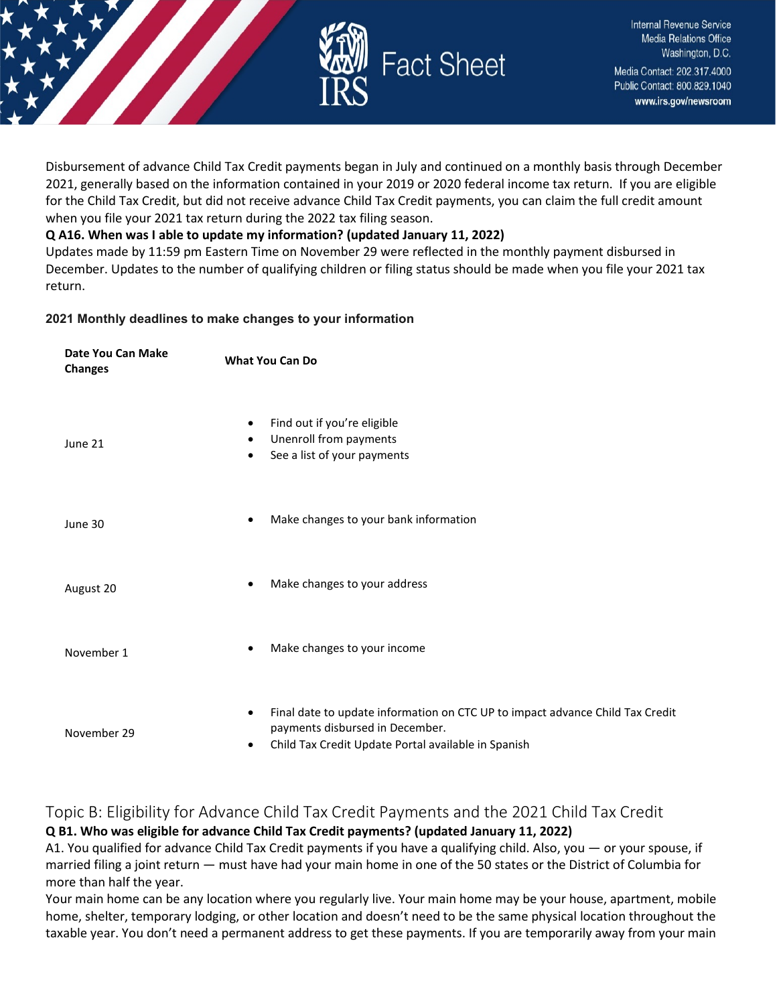

Disbursement of advance Child Tax Credit payments began in July and continued on a monthly basis through December 2021, generally based on the information contained in your 2019 or 2020 federal income tax return. If you are eligible for the Child Tax Credit, but did not receive advance Child Tax Credit payments, you can claim the full credit amount when you file your 2021 tax return during the 2022 tax filing season.

### **Q A16. When was I able to update my information? (updated January 11, 2022)**

Updates made by 11:59 pm Eastern Time on November 29 were reflected in the monthly payment disbursed in December. Updates to the number of qualifying children or filing status should be made when you file your 2021 tax return.

#### **2021 Monthly deadlines to make changes to your information**

| Date You Can Make<br><b>Changes</b> | <b>What You Can Do</b>                                                                                                                                                                            |  |
|-------------------------------------|---------------------------------------------------------------------------------------------------------------------------------------------------------------------------------------------------|--|
| June 21                             | Find out if you're eligible<br>$\bullet$<br>Unenroll from payments<br>$\bullet$<br>See a list of your payments<br>$\bullet$                                                                       |  |
| June 30                             | Make changes to your bank information<br>$\bullet$                                                                                                                                                |  |
| August 20                           | Make changes to your address<br>$\bullet$                                                                                                                                                         |  |
| November 1                          | Make changes to your income<br>٠                                                                                                                                                                  |  |
| November 29                         | Final date to update information on CTC UP to impact advance Child Tax Credit<br>$\bullet$<br>payments disbursed in December.<br>Child Tax Credit Update Portal available in Spanish<br>$\bullet$ |  |

## <span id="page-4-0"></span>Topic B: Eligibility for Advance Child Tax Credit Payments and the 2021 Child Tax Credit **Q B1. Who was eligible for advance Child Tax Credit payments? (updated January 11, 2022)**

A1. You qualified for advance Child Tax Credit payments if you have a qualifying child. Also, you — or your spouse, if married filing a joint return — must have had your main home in one of the 50 states or the District of Columbia for more than half the year.

Your main home can be any location where you regularly live. Your main home may be your house, apartment, mobile home, shelter, temporary lodging, or other location and doesn't need to be the same physical location throughout the taxable year. You don't need a permanent address to get these payments. If you are temporarily away from your main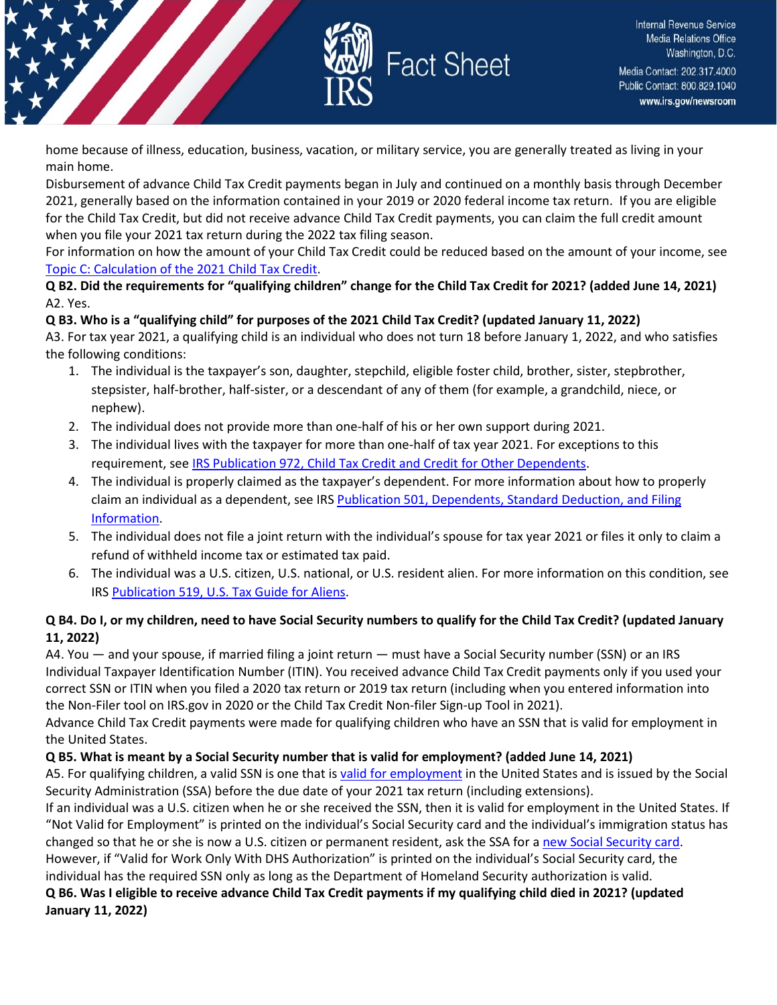

home because of illness, education, business, vacation, or military service, you are generally treated as living in your main home.

Disbursement of advance Child Tax Credit payments began in July and continued on a monthly basis through December 2021, generally based on the information contained in your 2019 or 2020 federal income tax return. If you are eligible for the Child Tax Credit, but did not receive advance Child Tax Credit payments, you can claim the full credit amount when you file your 2021 tax return during the 2022 tax filing season.

For information on how the amount of your Child Tax Credit could be reduced based on the amount of your income, see [Topic C: Calculation of the 2021 Child Tax Credit.](https://www.irs.gov/credits-deductions/2021-child-tax-credit-and-advance-child-tax-credit-payments-topic-c-calculation-of-the-2021-child-tax-credit)

**Q B2. Did the requirements for "qualifying children" change for the Child Tax Credit for 2021? (added June 14, 2021)** A2. Yes.

#### **Q B3. Who is a "qualifying child" for purposes of the 2021 Child Tax Credit? (updated January 11, 2022)**

A3. For tax year 2021, a qualifying child is an individual who does not turn 18 before January 1, 2022, and who satisfies the following conditions:

- 1. The individual is the taxpayer's son, daughter, stepchild, eligible foster child, brother, sister, stepbrother, stepsister, half-brother, half-sister, or a descendant of any of them (for example, a grandchild, niece, or nephew).
- 2. The individual does not provide more than one-half of his or her own support during 2021.
- 3. The individual lives with the taxpayer for more than one-half of tax year 2021. For exceptions to this requirement, se[e IRS Publication 972, Child Tax Credit and Credit for Other Dependents.](https://www.irs.gov/pub/irs-pdf/p972.pdf)
- 4. The individual is properly claimed as the taxpayer's dependent. For more information about how to properly claim an individual as a dependent, see IRS [Publication 501, Dependents, Standard Deduction,](https://www.irs.gov/pub/irs-pdf/p501.pdf) and Filing [Information.](https://www.irs.gov/pub/irs-pdf/p501.pdf)
- 5. The individual does not file a joint return with the individual's spouse for tax year 2021 or files it only to claim a refund of withheld income tax or estimated tax paid.
- 6. The individual was a U.S. citizen, U.S. national, or U.S. resident alien. For more information on this condition, see IRS [Publication 519, U.S. Tax Guide for Aliens.](https://www.irs.gov/pub/irs-pdf/p519.pdf)

### **Q B4. Do I, or my children, need to have Social Security numbers to qualify for the Child Tax Credit? (updated January 11, 2022)**

A4. You — and your spouse, if married filing a joint return — must have a Social Security number (SSN) or an IRS Individual Taxpayer Identification Number (ITIN). You received advance Child Tax Credit payments only if you used your correct SSN or ITIN when you filed a 2020 tax return or 2019 tax return (including when you entered information into the Non-Filer tool on IRS.gov in 2020 or the Child Tax Credit Non-filer Sign-up Tool in 2021).

Advance Child Tax Credit payments were made for qualifying children who have an SSN that is valid for employment in the United States.

#### **Q B5. What is meant by a Social Security number that is valid for employment? (added June 14, 2021)**

A5. For qualifying children, a valid SSN is one that is [valid for employment](https://www.ssa.gov/ssnumber/cards.htm) in the United States and is issued by the Social Security Administration (SSA) before the due date of your 2021 tax return (including extensions).

If an individual was a U.S. citizen when he or she received the SSN, then it is valid for employment in the United States. If "Not Valid for Employment" is printed on the individual's Social Security card and the individual's immigration status has changed so that he or she is now a U.S. citizen or permanent resident, ask the SSA for [a new Social Security card.](https://www.ssa.gov/ssnumber/) However, if "Valid for Work Only With DHS Authorization" is printed on the individual's Social Security card, the

individual has the required SSN only as long as the Department of Homeland Security authorization is valid.

## **Q B6. Was I eligible to receive advance Child Tax Credit payments if my qualifying child died in 2021? (updated January 11, 2022)**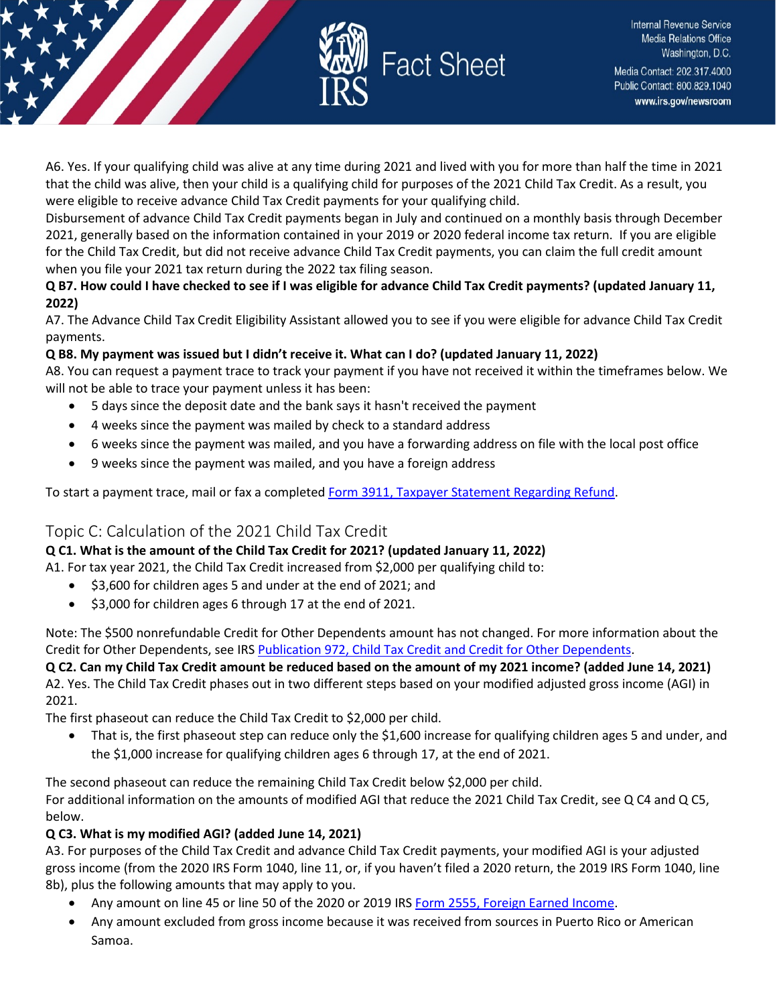

A6. Yes. If your qualifying child was alive at any time during 2021 and lived with you for more than half the time in 2021 that the child was alive, then your child is a qualifying child for purposes of the 2021 Child Tax Credit. As a result, you were eligible to receive advance Child Tax Credit payments for your qualifying child.

Disbursement of advance Child Tax Credit payments began in July and continued on a monthly basis through December 2021, generally based on the information contained in your 2019 or 2020 federal income tax return. If you are eligible for the Child Tax Credit, but did not receive advance Child Tax Credit payments, you can claim the full credit amount when you file your 2021 tax return during the 2022 tax filing season.

**Q B7. How could I have checked to see if I was eligible for advance Child Tax Credit payments? (updated January 11, 2022)**

A7. The Advance Child Tax Credit Eligibility Assistant allowed you to see if you were eligible for advance Child Tax Credit payments.

## **Q B8. My payment was issued but I didn't receive it. What can I do? (updated January 11, 2022)**

A8. You can request a payment trace to track your payment if you have not received it within the timeframes below. We will not be able to trace your payment unless it has been:

- 5 days since the deposit date and the bank says it hasn't received the payment
- 4 weeks since the payment was mailed by check to a standard address
- 6 weeks since the payment was mailed, and you have a forwarding address on file with the local post office
- 9 weeks since the payment was mailed, and you have a foreign address

To start a payment trace, mail or fax a completed [Form 3911, Taxpayer Statement Regarding Refund.](https://www.irs.gov/pub/irs-pdf/f3911.pdf)

## <span id="page-6-0"></span>Topic C: Calculation of the 2021 Child Tax Credit

## **Q C1. What is the amount of the Child Tax Credit for 2021? (updated January 11, 2022)**

A1. For tax year 2021, the Child Tax Credit increased from \$2,000 per qualifying child to:

- \$3,600 for children ages 5 and under at the end of 2021; and
- \$3,000 for children ages 6 through 17 at the end of 2021.

Note: The \$500 nonrefundable Credit for Other Dependents amount has not changed. For more information about the Credit for Other Dependents, see IRS Publication 972, [Child Tax Credit and Credit for Other Dependents.](https://www.irs.gov/pub/irs-pdf/p972.pdf)

**Q C2. Can my Child Tax Credit amount be reduced based on the amount of my 2021 income? (added June 14, 2021)** A2. Yes. The Child Tax Credit phases out in two different steps based on your modified adjusted gross income (AGI) in 2021.

The first phaseout can reduce the Child Tax Credit to \$2,000 per child.

• That is, the first phaseout step can reduce only the \$1,600 increase for qualifying children ages 5 and under, and the \$1,000 increase for qualifying children ages 6 through 17, at the end of 2021.

The second phaseout can reduce the remaining Child Tax Credit below \$2,000 per child. For additional information on the amounts of modified AGI that reduce the 2021 Child Tax Credit, see Q C4 and Q C5, below.

## **Q C3. What is my modified AGI? (added June 14, 2021)**

A3. For purposes of the Child Tax Credit and advance Child Tax Credit payments, your modified AGI is your adjusted gross income (from the 2020 IRS Form 1040, line 11, or, if you haven't filed a 2020 return, the 2019 IRS Form 1040, line 8b), plus the following amounts that may apply to you.

- Any amount on line 45 or line 50 of the 2020 or 2019 IRS [Form 2555, Foreign Earned Income.](https://www.irs.gov/forms-pubs/about-form-2555)
- Any amount excluded from gross income because it was received from sources in Puerto Rico or American Samoa.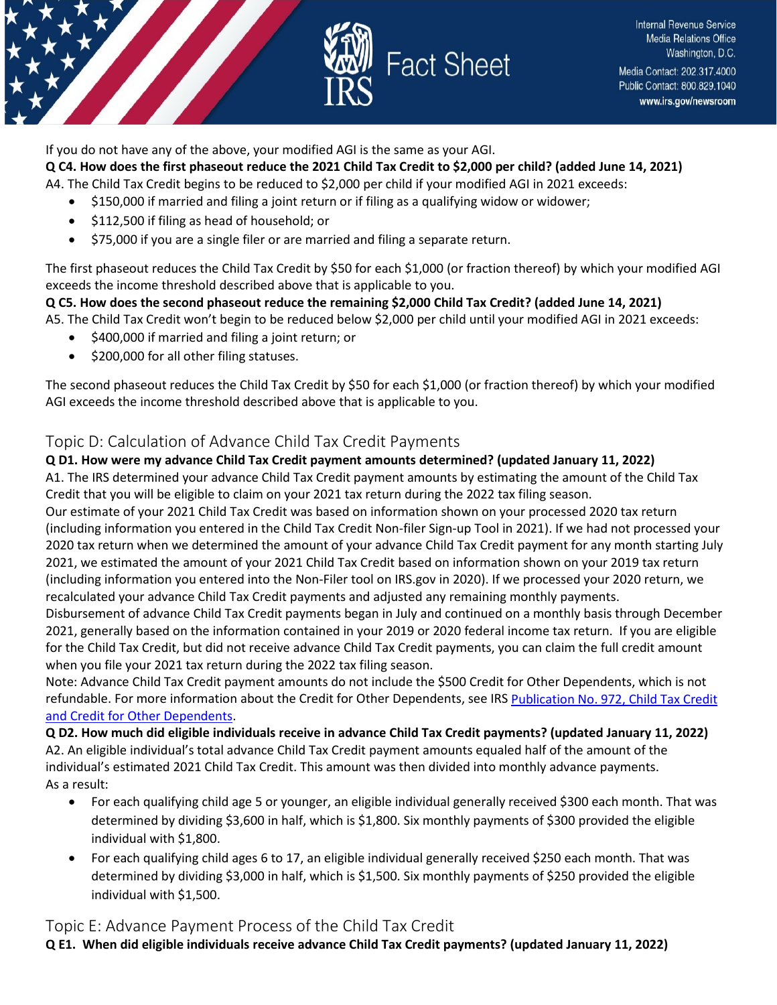

If you do not have any of the above, your modified AGI is the same as your AGI.

**Q C4. How does the first phaseout reduce the 2021 Child Tax Credit to \$2,000 per child? (added June 14, 2021)** A4. The Child Tax Credit begins to be reduced to \$2,000 per child if your modified AGI in 2021 exceeds:

- \$150,000 if married and filing a joint return or if filing as a qualifying widow or widower;
- \$112,500 if filing as head of household; or
- \$75,000 if you are a single filer or are married and filing a separate return.

The first phaseout reduces the Child Tax Credit by \$50 for each \$1,000 (or fraction thereof) by which your modified AGI exceeds the income threshold described above that is applicable to you.

## **Q C5. How does the second phaseout reduce the remaining \$2,000 Child Tax Credit? (added June 14, 2021)**

A5. The Child Tax Credit won't begin to be reduced below \$2,000 per child until your modified AGI in 2021 exceeds:

- \$400,000 if married and filing a joint return; or
- \$200,000 for all other filing statuses.

The second phaseout reduces the Child Tax Credit by \$50 for each \$1,000 (or fraction thereof) by which your modified AGI exceeds the income threshold described above that is applicable to you.

## <span id="page-7-0"></span>Topic D: Calculation of Advance Child Tax Credit Payments

**Q D1. How were my advance Child Tax Credit payment amounts determined? (updated January 11, 2022)** A1. The IRS determined your advance Child Tax Credit payment amounts by estimating the amount of the Child Tax Credit that you will be eligible to claim on your 2021 tax return during the 2022 tax filing season.

Our estimate of your 2021 Child Tax Credit was based on information shown on your processed 2020 tax return (including information you entered in the Child Tax Credit Non-filer Sign-up Tool in 2021). If we had not processed your 2020 tax return when we determined the amount of your advance Child Tax Credit payment for any month starting July 2021, we estimated the amount of your 2021 Child Tax Credit based on information shown on your 2019 tax return (including information you entered into the Non-Filer tool on IRS.gov in 2020). If we processed your 2020 return, we recalculated your advance Child Tax Credit payments and adjusted any remaining monthly payments.

Disbursement of advance Child Tax Credit payments began in July and continued on a monthly basis through December 2021, generally based on the information contained in your 2019 or 2020 federal income tax return. If you are eligible for the Child Tax Credit, but did not receive advance Child Tax Credit payments, you can claim the full credit amount when you file your 2021 tax return during the 2022 tax filing season.

Note: Advance Child Tax Credit payment amounts do not include the \$500 Credit for Other Dependents, which is not refundable. For more information about the Credit for Other Dependents, see IRS [Publication No. 972, Child Tax Credit](https://www.irs.gov/pub/irs-pdf/p972.pdf)  [and Credit for Other Dependents.](https://www.irs.gov/pub/irs-pdf/p972.pdf)

**Q D2. How much did eligible individuals receive in advance Child Tax Credit payments? (updated January 11, 2022)** A2. An eligible individual's total advance Child Tax Credit payment amounts equaled half of the amount of the individual's estimated 2021 Child Tax Credit. This amount was then divided into monthly advance payments. As a result:

- For each qualifying child age 5 or younger, an eligible individual generally received \$300 each month. That was determined by dividing \$3,600 in half, which is \$1,800. Six monthly payments of \$300 provided the eligible individual with \$1,800.
- For each qualifying child ages 6 to 17, an eligible individual generally received \$250 each month. That was determined by dividing \$3,000 in half, which is \$1,500. Six monthly payments of \$250 provided the eligible individual with \$1,500.

## <span id="page-7-1"></span>Topic E: Advance Payment Process of the Child Tax Credit

**Q E1. When did eligible individuals receive advance Child Tax Credit payments? (updated January 11, 2022)**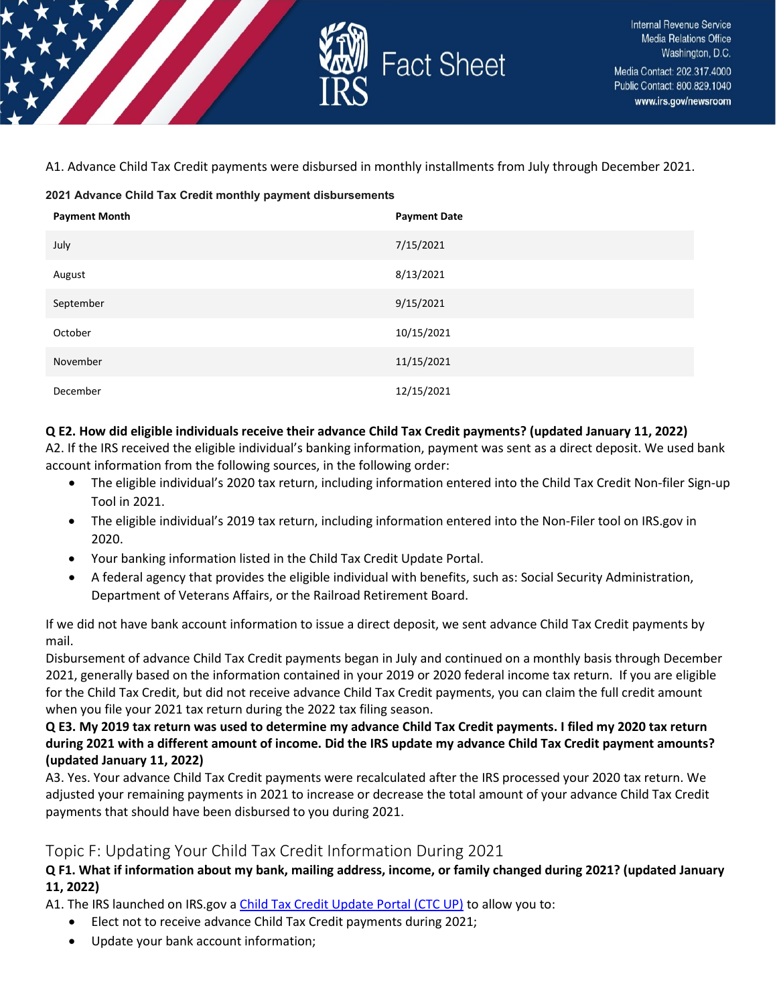

A1. Advance Child Tax Credit payments were disbursed in monthly installments from July through December 2021.

#### **2021 Advance Child Tax Credit monthly payment disbursements**

| <b>Payment Month</b> | <b>Payment Date</b> |
|----------------------|---------------------|
| July                 | 7/15/2021           |
| August               | 8/13/2021           |
| September            | 9/15/2021           |
| October              | 10/15/2021          |
| November             | 11/15/2021          |
| December             | 12/15/2021          |

#### **Q E2. How did eligible individuals receive their advance Child Tax Credit payments? (updated January 11, 2022)**

A2. If the IRS received the eligible individual's banking information, payment was sent as a direct deposit. We used bank account information from the following sources, in the following order:

- The eligible individual's 2020 tax return, including information entered into the Child Tax Credit Non-filer Sign-up Tool in 2021.
- The eligible individual's 2019 tax return, including information entered into the Non-Filer tool on IRS.gov in 2020.
- Your banking information listed in the Child Tax Credit Update Portal.
- A federal agency that provides the eligible individual with benefits, such as: Social Security Administration, Department of Veterans Affairs, or the Railroad Retirement Board.

If we did not have bank account information to issue a direct deposit, we sent advance Child Tax Credit payments by mail.

Disbursement of advance Child Tax Credit payments began in July and continued on a monthly basis through December 2021, generally based on the information contained in your 2019 or 2020 federal income tax return. If you are eligible for the Child Tax Credit, but did not receive advance Child Tax Credit payments, you can claim the full credit amount when you file your 2021 tax return during the 2022 tax filing season.

**Q E3. My 2019 tax return was used to determine my advance Child Tax Credit payments. I filed my 2020 tax return during 2021 with a different amount of income. Did the IRS update my advance Child Tax Credit payment amounts? (updated January 11, 2022)**

A3. Yes. Your advance Child Tax Credit payments were recalculated after the IRS processed your 2020 tax return. We adjusted your remaining payments in 2021 to increase or decrease the total amount of your advance Child Tax Credit payments that should have been disbursed to you during 2021.

## <span id="page-8-0"></span>Topic F: Updating Your Child Tax Credit Information During 2021

**Q F1. What if information about my bank, mailing address, income, or family changed during 2021? (updated January 11, 2022)** 

A1. The IRS launched on IRS.gov a [Child Tax Credit Update Portal \(CTC UP\)](https://www.irs.gov/credits-deductions/child-tax-credit-update-portal) to allow you to:

- Elect not to receive advance Child Tax Credit payments during 2021;
- Update your bank account information;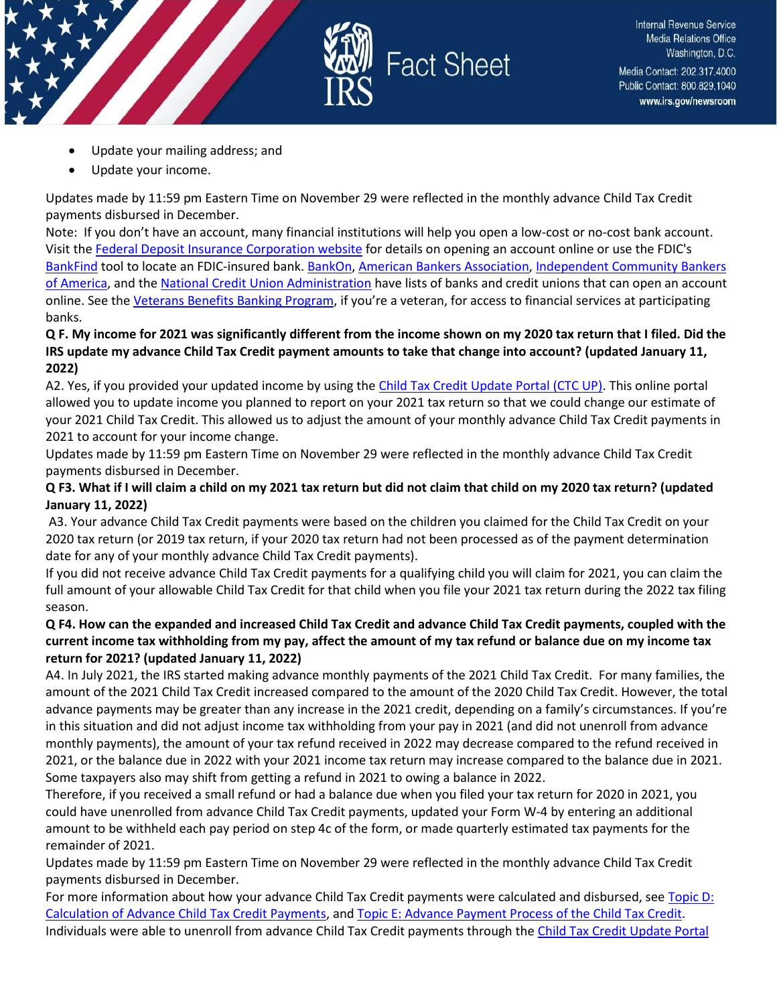

- Update your mailing address; and
- Update your income.

Updates made by 11:59 pm Eastern Time on November 29 were reflected in the monthly advance Child Tax Credit payments disbursed in December.

Note: If you don't have an account, many financial institutions will help you open a low-cost or no-cost bank account. Visit the [Federal Deposit Insurance Corporation website](https://www.fdic.gov/getbanked/index.html) for details on opening an account online or use the FDIC's [BankFind](https://banks.data.fdic.gov/bankfind-suite/bankfind) tool to locate an FDIC-insured bank. [BankOn,](https://covidbanking.joinbankon.org/) [American Bankers Association,](https://www.aba.com/advocacy/community-programs/consumer-resources/manage-your-money/choosing-safe-affordable-account) [Independent Community Bankers](https://www.icba.org/about/open-a-bank-account-remotely)  [of America,](https://www.icba.org/about/open-a-bank-account-remotely) and th[e National Credit Union Administration](https://www.mycreditunion.gov/about-credit-unions/credit-union-locator) have lists of banks and credit unions that can open an account online. See the [Veterans Benefits Banking Program,](https://www.benefits.va.gov/benefits/banking.asp) if you're a veteran, for access to financial services at participating banks.

### **Q F. My income for 2021 was significantly different from the income shown on my 2020 tax return that I filed. Did the IRS update my advance Child Tax Credit payment amounts to take that change into account? (updated January 11, 2022)**

A2. Yes, if you provided your updated income by using th[e Child Tax Credit Update Portal \(CTC UP\).](https://www.irs.gov/credits-deductions/child-tax-credit-update-portal) This online portal allowed you to update income you planned to report on your 2021 tax return so that we could change our estimate of your 2021 Child Tax Credit. This allowed us to adjust the amount of your monthly advance Child Tax Credit payments in 2021 to account for your income change.

Updates made by 11:59 pm Eastern Time on November 29 were reflected in the monthly advance Child Tax Credit payments disbursed in December.

### **Q F3. What if I will claim a child on my 2021 tax return but did not claim that child on my 2020 tax return? (updated January 11, 2022)**

A3. Your advance Child Tax Credit payments were based on the children you claimed for the Child Tax Credit on your 2020 tax return (or 2019 tax return, if your 2020 tax return had not been processed as of the payment determination date for any of your monthly advance Child Tax Credit payments).

If you did not receive advance Child Tax Credit payments for a qualifying child you will claim for 2021, you can claim the full amount of your allowable Child Tax Credit for that child when you file your 2021 tax return during the 2022 tax filing season.

#### **Q F4. How can the expanded and increased Child Tax Credit and advance Child Tax Credit payments, coupled with the current income tax withholding from my pay, affect the amount of my tax refund or balance due on my income tax return for 2021? (updated January 11, 2022)**

A4. In July 2021, the IRS started making advance monthly payments of the 2021 Child Tax Credit. For many families, the amount of the 2021 Child Tax Credit increased compared to the amount of the 2020 Child Tax Credit. However, the total advance payments may be greater than any increase in the 2021 credit, depending on a family's circumstances. If you're in this situation and did not adjust income tax withholding from your pay in 2021 (and did not unenroll from advance monthly payments), the amount of your tax refund received in 2022 may decrease compared to the refund received in 2021, or the balance due in 2022 with your 2021 income tax return may increase compared to the balance due in 2021. Some taxpayers also may shift from getting a refund in 2021 to owing a balance in 2022.

Therefore, if you received a small refund or had a balance due when you filed your tax return for 2020 in 2021, you could have unenrolled from advance Child Tax Credit payments, updated your Form W-4 by entering an additional amount to be withheld each pay period on step 4c of the form, or made quarterly estimated tax payments for the remainder of 2021.

Updates made by 11:59 pm Eastern Time on November 29 were reflected in the monthly advance Child Tax Credit payments disbursed in December.

For more information about how your advance Child Tax Credit payments were calculated and disbursed, se[e Topic D:](https://www.irs.gov/credits-deductions/2021-child-tax-credit-and-advance-child-tax-credit-payments-topic-d-calculation-of-advance-child-tax-credit-payments)  [Calculation of Advance Child Tax Credit Payments,](https://www.irs.gov/credits-deductions/2021-child-tax-credit-and-advance-child-tax-credit-payments-topic-d-calculation-of-advance-child-tax-credit-payments) an[d Topic E: Advance Payment Process of the Child Tax Credit.](https://www.irs.gov/credits-deductions/2021-child-tax-credit-and-advance-child-tax-credit-payments-topic-e-advance-payment-process-of-the-child-tax-credit) Individuals were able to unenroll from advance Child Tax Credit payments through the [Child Tax Credit Update Portal](https://www.irs.gov/credits-deductions/child-tax-credit-update-portal)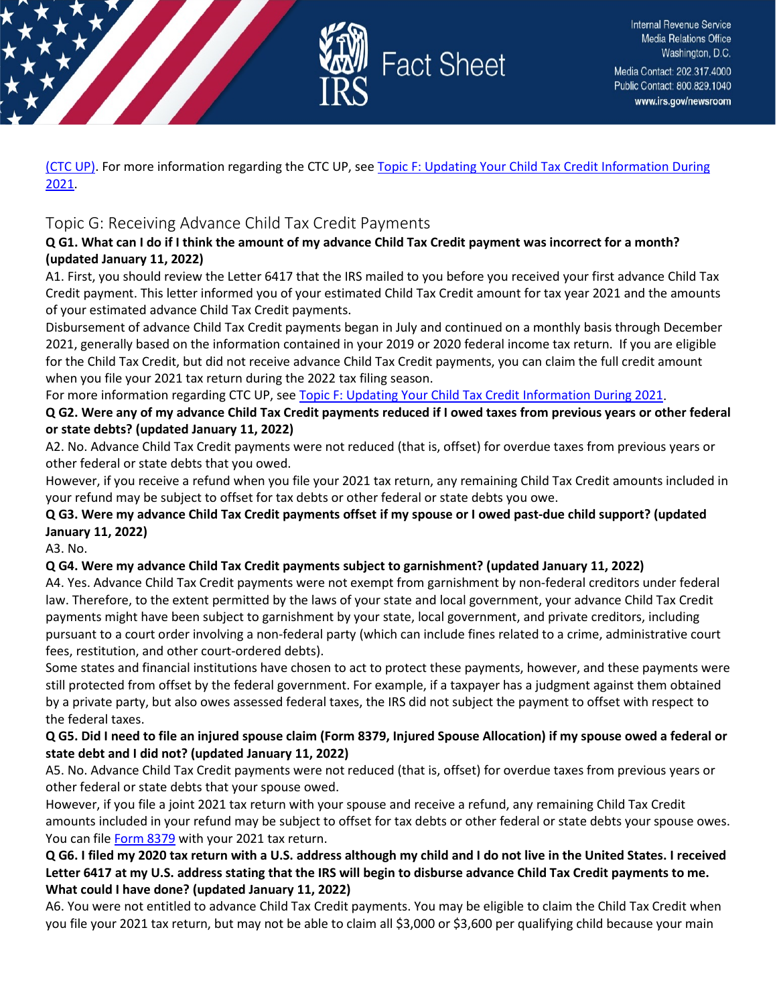

[\(CTC UP\).](https://www.irs.gov/credits-deductions/child-tax-credit-update-portal) For more information regarding the CTC UP, se[e Topic F: Updating Your Child Tax Credit Information During](https://www.irs.gov/credits-deductions/2021-child-tax-credit-and-advance-child-tax-credit-payments-topic-f-updating-your-child-tax-credit-information-during-2021)  [2021.](https://www.irs.gov/credits-deductions/2021-child-tax-credit-and-advance-child-tax-credit-payments-topic-f-updating-your-child-tax-credit-information-during-2021)

## <span id="page-10-0"></span>Topic G: Receiving Advance Child Tax Credit Payments

### **Q G1. What can I do if I think the amount of my advance Child Tax Credit payment was incorrect for a month? (updated January 11, 2022)**

A1. First, you should review the Letter 6417 that the IRS mailed to you before you received your first advance Child Tax Credit payment. This letter informed you of your estimated Child Tax Credit amount for tax year 2021 and the amounts of your estimated advance Child Tax Credit payments.

Disbursement of advance Child Tax Credit payments began in July and continued on a monthly basis through December 2021, generally based on the information contained in your 2019 or 2020 federal income tax return. If you are eligible for the Child Tax Credit, but did not receive advance Child Tax Credit payments, you can claim the full credit amount when you file your 2021 tax return during the 2022 tax filing season.

For more information regarding CTC UP, see [Topic F: Updating Your Child Tax Credit Information During 2021.](https://www.irs.gov/credits-deductions/2021-child-tax-credit-and-advance-child-tax-credit-payments-topic-f-updating-your-child-tax-credit-information-during-2021)

**Q G2. Were any of my advance Child Tax Credit payments reduced if I owed taxes from previous years or other federal or state debts? (updated January 11, 2022)**

A2. No. Advance Child Tax Credit payments were not reduced (that is, offset) for overdue taxes from previous years or other federal or state debts that you owed.

However, if you receive a refund when you file your 2021 tax return, any remaining Child Tax Credit amounts included in your refund may be subject to offset for tax debts or other federal or state debts you owe.

## **Q G3. Were my advance Child Tax Credit payments offset if my spouse or I owed past-due child support? (updated January 11, 2022)**

A3. No.

## **Q G4. Were my advance Child Tax Credit payments subject to garnishment? (updated January 11, 2022)**

A4. Yes. Advance Child Tax Credit payments were not exempt from garnishment by non-federal creditors under federal law. Therefore, to the extent permitted by the laws of your state and local government, your advance Child Tax Credit payments might have been subject to garnishment by your state, local government, and private creditors, including pursuant to a court order involving a non-federal party (which can include fines related to a crime, administrative court fees, restitution, and other court-ordered debts).

Some states and financial institutions have chosen to act to protect these payments, however, and these payments were still protected from offset by the federal government. For example, if a taxpayer has a judgment against them obtained by a private party, but also owes assessed federal taxes, the IRS did not subject the payment to offset with respect to the federal taxes.

### **Q G5. Did I need to file an injured spouse claim (Form 8379, Injured Spouse Allocation) if my spouse owed a federal or state debt and I did not? (updated January 11, 2022)**

A5. No. Advance Child Tax Credit payments were not reduced (that is, offset) for overdue taxes from previous years or other federal or state debts that your spouse owed.

However, if you file a joint 2021 tax return with your spouse and receive a refund, any remaining Child Tax Credit amounts included in your refund may be subject to offset for tax debts or other federal or state debts your spouse owes. You can file [Form 8379](https://www.irs.gov/forms-pubs/about-form-8379) with your 2021 tax return.

### **Q G6. I filed my 2020 tax return with a U.S. address although my child and I do not live in the United States. I received Letter 6417 at my U.S. address stating that the IRS will begin to disburse advance Child Tax Credit payments to me. What could I have done? (updated January 11, 2022)**

A6. You were not entitled to advance Child Tax Credit payments. You may be eligible to claim the Child Tax Credit when you file your 2021 tax return, but may not be able to claim all \$3,000 or \$3,600 per qualifying child because your main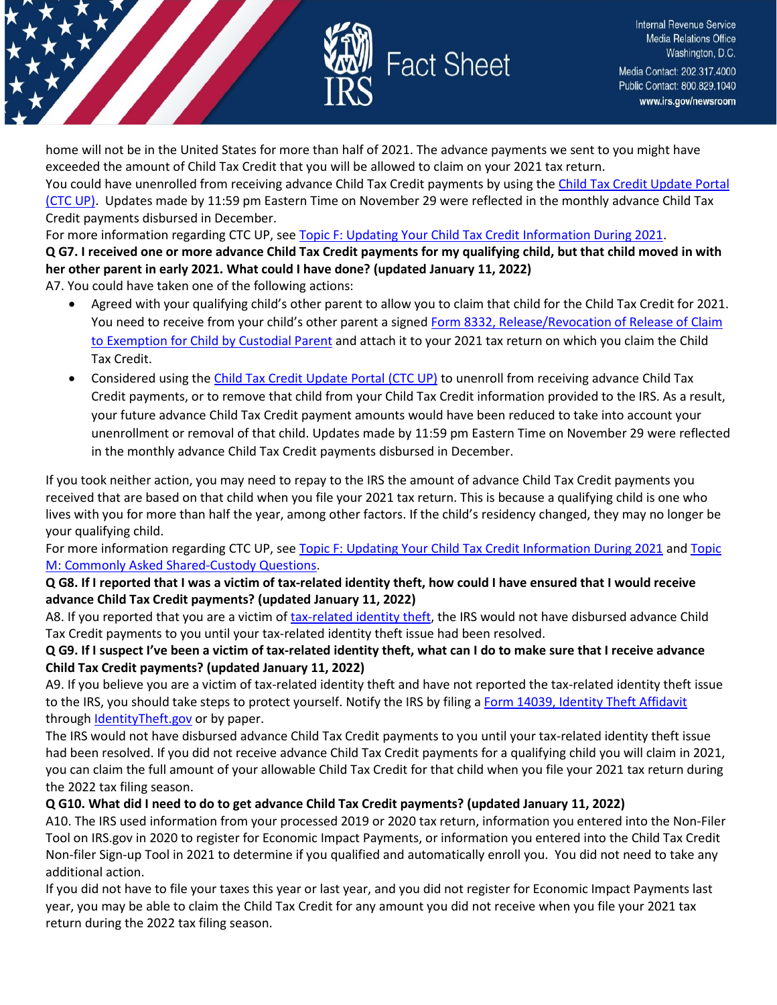

home will not be in the United States for more than half of 2021. The advance payments we sent to you might have exceeded the amount of Child Tax Credit that you will be allowed to claim on your 2021 tax return.

You could have unenrolled from receiving advance Child Tax Credit payments by using the [Child Tax Credit Update Portal](https://www.irs.gov/credits-deductions/child-tax-credit-update-portal)  [\(CTC UP\).](https://www.irs.gov/credits-deductions/child-tax-credit-update-portal) Updates made by 11:59 pm Eastern Time on November 29 were reflected in the monthly advance Child Tax Credit payments disbursed in December.

For more information regarding CTC UP, see [Topic F: Updating Your Child Tax Credit Information During 2021.](https://www.irs.gov/credits-deductions/2021-child-tax-credit-and-advance-child-tax-credit-payments-topic-f-updating-your-child-tax-credit-information-during-2021)

## **Q G7. I received one or more advance Child Tax Credit payments for my qualifying child, but that child moved in with her other parent in early 2021. What could I have done? (updated January 11, 2022)**

A7. You could have taken one of the following actions:

- Agreed with your qualifying child's other parent to allow you to claim that child for the Child Tax Credit for 2021. You need to receive from your child's other parent a signed [Form 8332, Release/Revocation of Release of Claim](https://www.irs.gov/forms-pubs/about-form-8332)  [to Exemption for Child by Custodial Parent](https://www.irs.gov/forms-pubs/about-form-8332) and attach it to your 2021 tax return on which you claim the Child Tax Credit.
- Considered using th[e Child Tax Credit Update Portal \(CTC UP\)](https://www.irs.gov/credits-deductions/child-tax-credit-update-portal) to unenroll from receiving advance Child Tax Credit payments, or to remove that child from your Child Tax Credit information provided to the IRS. As a result, your future advance Child Tax Credit payment amounts would have been reduced to take into account your unenrollment or removal of that child. Updates made by 11:59 pm Eastern Time on November 29 were reflected in the monthly advance Child Tax Credit payments disbursed in December.

If you took neither action, you may need to repay to the IRS the amount of advance Child Tax Credit payments you received that are based on that child when you file your 2021 tax return. This is because a qualifying child is one who lives with you for more than half the year, among other factors. If the child's residency changed, they may no longer be your qualifying child.

For more information regarding CTC UP, see Topic F: [Updating Your Child Tax Credit Information During 2021](https://www.irs.gov/credits-deductions/2021-child-tax-credit-and-advance-child-tax-credit-payments-topic-f-updating-your-child-tax-credit-information-during-2021) and Topic [M: Commonly Asked Shared-Custody Questions.](https://www.irs.gov/credits-deductions/2021-child-tax-credit-and-advance-child-tax-credit-payments-topic-m-commonly-asked-shared-custody-questions)

### **Q G8. If I reported that I was a victim of tax-related identity theft, how could I have ensured that I would receive advance Child Tax Credit payments? (updated January 11, 2022)**

A8. If you reported that you are a victim of [tax-related identity theft,](https://www.irs.gov/newsroom/taxpayer-guide-to-identity-theft) the IRS would not have disbursed advance Child Tax Credit payments to you until your tax-related identity theft issue had been resolved.

## **Q G9. If I suspect I've been a victim of tax-related identity theft, what can I do to make sure that I receive advance Child Tax Credit payments? (updated January 11, 2022)**

A9. If you believe you are a victim of tax-related identity theft and have not reported the tax-related identity theft issue to the IRS, you should take steps to protect yourself. Notify the IRS by filing [a Form 14039, Identity Theft Affidavit](https://www.irs.gov/pub/irs-pdf/f14039.pdf) through [IdentityTheft.gov](https://www.identitytheft.gov/) or by paper.

The IRS would not have disbursed advance Child Tax Credit payments to you until your tax-related identity theft issue had been resolved. If you did not receive advance Child Tax Credit payments for a qualifying child you will claim in 2021, you can claim the full amount of your allowable Child Tax Credit for that child when you file your 2021 tax return during the 2022 tax filing season.

## **Q G10. What did I need to do to get advance Child Tax Credit payments? (updated January 11, 2022)**

A10. The IRS used information from your processed 2019 or 2020 tax return, information you entered into the Non-Filer Tool on IRS.gov in 2020 to register for Economic Impact Payments, or information you entered into the Child Tax Credit Non-filer Sign-up Tool in 2021 to determine if you qualified and automatically enroll you. You did not need to take any additional action.

If you did not have to file your taxes this year or last year, and you did not register for Economic Impact Payments last year, you may be able to claim the Child Tax Credit for any amount you did not receive when you file your 2021 tax return during the 2022 tax filing season.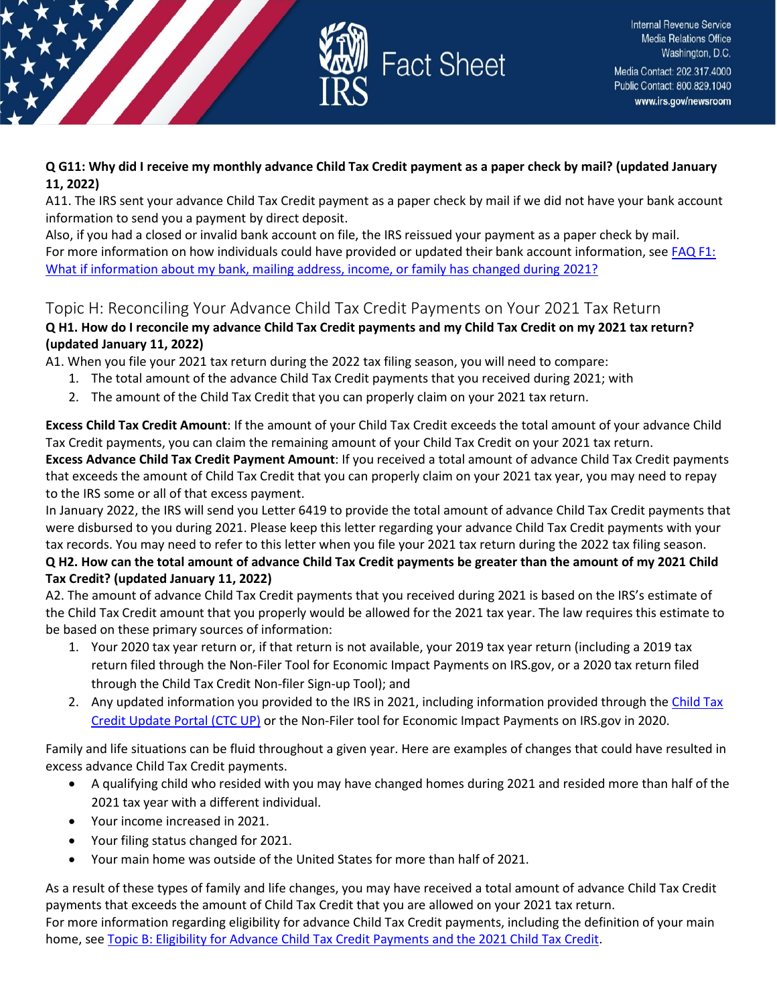

## **Q G11: Why did I receive my monthly advance Child Tax Credit payment as a paper check by mail? (updated January 11, 2022)**

A11. The IRS sent your advance Child Tax Credit payment as a paper check by mail if we did not have your bank account information to send you a payment by direct deposit.

Also, if you had a closed or invalid bank account on file, the IRS reissued your payment as a paper check by mail. For more information on how individuals could have provided or updated their bank account information, see FAQ F1: [What if information about my bank, mailing address, income, or family has changed during 2021?](https://www.irs.gov/credits-deductions/2021-child-tax-credit-and-advance-child-tax-credit-payments-topic-f-updating-your-child-tax-credit-information-during-2021#qf1)

## <span id="page-12-0"></span>Topic H: Reconciling Your Advance Child Tax Credit Payments on Your 2021 Tax Return

## **Q H1. How do I reconcile my advance Child Tax Credit payments and my Child Tax Credit on my 2021 tax return? (updated January 11, 2022)**

A1. When you file your 2021 tax return during the 2022 tax filing season, you will need to compare:

- 1. The total amount of the advance Child Tax Credit payments that you received during 2021; with
- 2. The amount of the Child Tax Credit that you can properly claim on your 2021 tax return.

**Excess Child Tax Credit Amount**: If the amount of your Child Tax Credit exceeds the total amount of your advance Child Tax Credit payments, you can claim the remaining amount of your Child Tax Credit on your 2021 tax return. **Excess Advance Child Tax Credit Payment Amount**: If you received a total amount of advance Child Tax Credit payments that exceeds the amount of Child Tax Credit that you can properly claim on your 2021 tax year, you may need to repay to the IRS some or all of that excess payment.

In January 2022, the IRS will send you Letter 6419 to provide the total amount of advance Child Tax Credit payments that were disbursed to you during 2021. Please keep this letter regarding your advance Child Tax Credit payments with your tax records. You may need to refer to this letter when you file your 2021 tax return during the 2022 tax filing season.

## **Q H2. How can the total amount of advance Child Tax Credit payments be greater than the amount of my 2021 Child Tax Credit? (updated January 11, 2022)**

A2. The amount of advance Child Tax Credit payments that you received during 2021 is based on the IRS's estimate of the Child Tax Credit amount that you properly would be allowed for the 2021 tax year. The law requires this estimate to be based on these primary sources of information:

- 1. Your 2020 tax year return or, if that return is not available, your 2019 tax year return (including a 2019 tax return filed through the Non-Filer Tool for Economic Impact Payments on IRS.gov, or a 2020 tax return filed through the Child Tax Credit Non-filer Sign-up Tool); and
- 2. Any updated information you provided to the IRS in 2021, including information provided through th[e Child Tax](https://www.irs.gov/credits-deductions/child-tax-credit-update-portal)  [Credit Update Portal \(CTC UP\)](https://www.irs.gov/credits-deductions/child-tax-credit-update-portal) or the Non-Filer tool for Economic Impact Payments on IRS.gov in 2020.

Family and life situations can be fluid throughout a given year. Here are examples of changes that could have resulted in excess advance Child Tax Credit payments.

- A qualifying child who resided with you may have changed homes during 2021 and resided more than half of the 2021 tax year with a different individual.
- Your income increased in 2021.
- Your filing status changed for 2021.
- Your main home was outside of the United States for more than half of 2021.

As a result of these types of family and life changes, you may have received a total amount of advance Child Tax Credit payments that exceeds the amount of Child Tax Credit that you are allowed on your 2021 tax return. For more information regarding eligibility for advance Child Tax Credit payments, including the definition of your main home, see [Topic B: Eligibility for Advance Child Tax Credit Payments and the 2021 Child Tax Credit.](https://www.irs.gov/credits-deductions/2021-child-tax-credit-and-advance-child-tax-credit-payments-topic-b-eligibility-for-advance-child-tax-credit-payments-and-the-2021-child-tax-credit)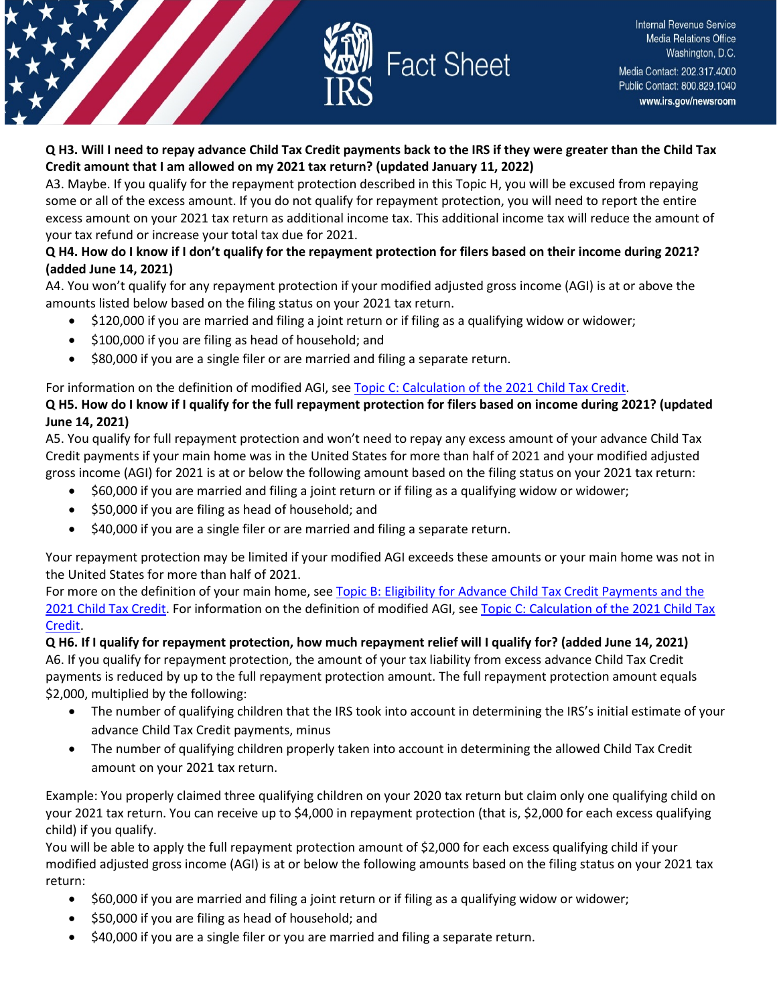

### **Q H3. Will I need to repay advance Child Tax Credit payments back to the IRS if they were greater than the Child Tax Credit amount that I am allowed on my 2021 tax return? (updated January 11, 2022)**

A3. Maybe. If you qualify for the repayment protection described in this Topic H, you will be excused from repaying some or all of the excess amount. If you do not qualify for repayment protection, you will need to report the entire excess amount on your 2021 tax return as additional income tax. This additional income tax will reduce the amount of your tax refund or increase your total tax due for 2021.

### **Q H4. How do I know if I don't qualify for the repayment protection for filers based on their income during 2021? (added June 14, 2021)**

A4. You won't qualify for any repayment protection if your modified adjusted gross income (AGI) is at or above the amounts listed below based on the filing status on your 2021 tax return.

- \$120,000 if you are married and filing a joint return or if filing as a qualifying widow or widower;
- \$100,000 if you are filing as head of household; and
- \$80,000 if you are a single filer or are married and filing a separate return.

For information on the definition of modified AGI, see [Topic C: Calculation of the 2021 Child Tax Credit.](https://www.irs.gov/credits-deductions/2021-child-tax-credit-and-advance-child-tax-credit-payments-topic-c-calculation-of-the-2021-child-tax-credit)

## **Q H5. How do I know if I qualify for the full repayment protection for filers based on income during 2021? (updated June 14, 2021)**

A5. You qualify for full repayment protection and won't need to repay any excess amount of your advance Child Tax Credit payments if your main home was in the United States for more than half of 2021 and your modified adjusted gross income (AGI) for 2021 is at or below the following amount based on the filing status on your 2021 tax return:

- \$60,000 if you are married and filing a joint return or if filing as a qualifying widow or widower;
- \$50,000 if you are filing as head of household; and
- \$40,000 if you are a single filer or are married and filing a separate return.

Your repayment protection may be limited if your modified AGI exceeds these amounts or your main home was not in the United States for more than half of 2021.

For more on the definition of your main home, see [Topic B: Eligibility for Advance Child Tax Credit Payments and the](https://www.irs.gov/credits-deductions/2021-child-tax-credit-and-advance-child-tax-credit-payments-topic-b-eligibility-for-advance-child-tax-credit-payments-and-the-2021-child-tax-credit)  [2021 Child Tax Credit.](https://www.irs.gov/credits-deductions/2021-child-tax-credit-and-advance-child-tax-credit-payments-topic-b-eligibility-for-advance-child-tax-credit-payments-and-the-2021-child-tax-credit) For information on the definition of modified AGI, see [Topic C: Calculation of the 2021 Child Tax](https://www.irs.gov/credits-deductions/2021-child-tax-credit-and-advance-child-tax-credit-payments-topic-c-calculation-of-the-2021-child-tax-credit)  [Credit.](https://www.irs.gov/credits-deductions/2021-child-tax-credit-and-advance-child-tax-credit-payments-topic-c-calculation-of-the-2021-child-tax-credit)

**Q H6. If I qualify for repayment protection, how much repayment relief will I qualify for? (added June 14, 2021)** A6. If you qualify for repayment protection, the amount of your tax liability from excess advance Child Tax Credit payments is reduced by up to the full repayment protection amount. The full repayment protection amount equals \$2,000, multiplied by the following:

- The number of qualifying children that the IRS took into account in determining the IRS's initial estimate of your advance Child Tax Credit payments, minus
- The number of qualifying children properly taken into account in determining the allowed Child Tax Credit amount on your 2021 tax return.

Example: You properly claimed three qualifying children on your 2020 tax return but claim only one qualifying child on your 2021 tax return. You can receive up to \$4,000 in repayment protection (that is, \$2,000 for each excess qualifying child) if you qualify.

You will be able to apply the full repayment protection amount of \$2,000 for each excess qualifying child if your modified adjusted gross income (AGI) is at or below the following amounts based on the filing status on your 2021 tax return:

- \$60,000 if you are married and filing a joint return or if filing as a qualifying widow or widower;
- \$50,000 if you are filing as head of household; and
- \$40,000 if you are a single filer or you are married and filing a separate return.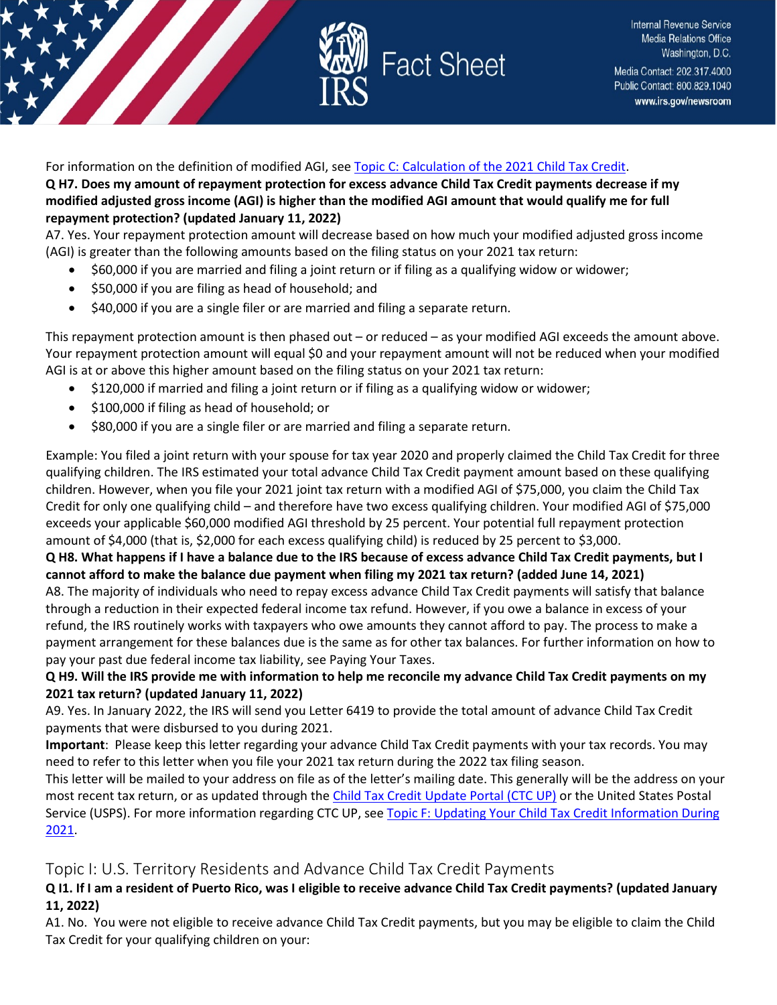

For information on the definition of modified AGI, see [Topic C: Calculation of the 2021 Child Tax Credit.](https://www.irs.gov/credits-deductions/2021-child-tax-credit-and-advance-child-tax-credit-payments-topic-c-calculation-of-the-2021-child-tax-credit) **Q H7. Does my amount of repayment protection for excess advance Child Tax Credit payments decrease if my modified adjusted gross income (AGI) is higher than the modified AGI amount that would qualify me for full repayment protection? (updated January 11, 2022)** 

A7. Yes. Your repayment protection amount will decrease based on how much your modified adjusted gross income (AGI) is greater than the following amounts based on the filing status on your 2021 tax return:

- \$60,000 if you are married and filing a joint return or if filing as a qualifying widow or widower;
- \$50,000 if you are filing as head of household; and
- \$40,000 if you are a single filer or are married and filing a separate return.

This repayment protection amount is then phased out – or reduced – as your modified AGI exceeds the amount above. Your repayment protection amount will equal \$0 and your repayment amount will not be reduced when your modified AGI is at or above this higher amount based on the filing status on your 2021 tax return:

- \$120,000 if married and filing a joint return or if filing as a qualifying widow or widower;
- \$100,000 if filing as head of household; or
- \$80,000 if you are a single filer or are married and filing a separate return.

Example: You filed a joint return with your spouse for tax year 2020 and properly claimed the Child Tax Credit for three qualifying children. The IRS estimated your total advance Child Tax Credit payment amount based on these qualifying children. However, when you file your 2021 joint tax return with a modified AGI of \$75,000, you claim the Child Tax Credit for only one qualifying child – and therefore have two excess qualifying children. Your modified AGI of \$75,000 exceeds your applicable \$60,000 modified AGI threshold by 25 percent. Your potential full repayment protection amount of \$4,000 (that is, \$2,000 for each excess qualifying child) is reduced by 25 percent to \$3,000.

### **Q H8. What happens if I have a balance due to the IRS because of excess advance Child Tax Credit payments, but I cannot afford to make the balance due payment when filing my 2021 tax return? (added June 14, 2021)**

A8. The majority of individuals who need to repay excess advance Child Tax Credit payments will satisfy that balance through a reduction in their expected federal income tax refund. However, if you owe a balance in excess of your refund, the IRS routinely works with taxpayers who owe amounts they cannot afford to pay. The process to make a payment arrangement for these balances due is the same as for other tax balances. For further information on how to pay your past due federal income tax liability, see Paying Your Taxes.

### **Q H9. Will the IRS provide me with information to help me reconcile my advance Child Tax Credit payments on my 2021 tax return? (updated January 11, 2022)**

A9. Yes. In January 2022, the IRS will send you Letter 6419 to provide the total amount of advance Child Tax Credit payments that were disbursed to you during 2021.

**Important**: Please keep this letter regarding your advance Child Tax Credit payments with your tax records. You may need to refer to this letter when you file your 2021 tax return during the 2022 tax filing season.

This letter will be mailed to your address on file as of the letter's mailing date. This generally will be the address on your most recent tax return, or as updated through the [Child Tax Credit Update Portal \(CTC UP\)](https://www.irs.gov/credits-deductions/child-tax-credit-update-portal) or the United States Postal Service (USPS). For more information regarding CTC UP, see Topic F: Updating Your Child Tax Credit Information During [2021.](https://www.irs.gov/credits-deductions/2021-child-tax-credit-and-advance-child-tax-credit-payments-topic-f-updating-your-child-tax-credit-information-during-2021)

## <span id="page-14-0"></span>Topic I: U.S. Territory Residents and Advance Child Tax Credit Payments

### **Q I1. If I am a resident of Puerto Rico, was I eligible to receive advance Child Tax Credit payments? (updated January 11, 2022)**

A1. No. You were not eligible to receive advance Child Tax Credit payments, but you may be eligible to claim the Child Tax Credit for your qualifying children on your: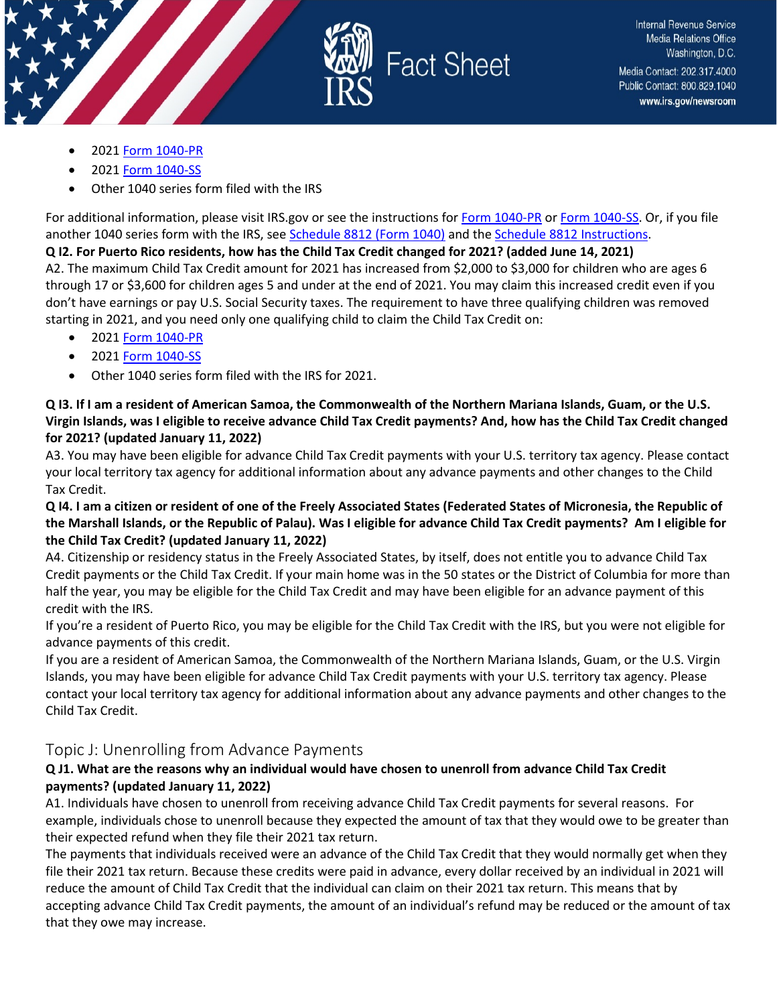



- 2021 [Form 1040-PR](https://www.irs.gov/forms-pubs/about-form-1040-pr)
- 2021 [Form 1040-SS](https://www.irs.gov/forms-pubs/about-form-1040-ss)
- Other 1040 series form filed with the IRS

For additional information, please visit IRS.gov or see the instructions fo[r Form 1040-PR](https://www.irs.gov/instructions/i1040pr) o[r Form 1040-SS.](https://www.irs.gov/forms-pubs/about-form-1040-ss) Or, if you file another 1040 series form with the IRS, see [Schedule 8812 \(Form 1040\)](https://www.irs.gov/forms-pubs/about-schedule-8812-form-1040) and the [Schedule 8812 Instructions.](https://www.irs.gov/instructions/i1040s8)

#### **Q I2. For Puerto Rico residents, how has the Child Tax Credit changed for 2021? (added June 14, 2021)**

A2. The maximum Child Tax Credit amount for 2021 has increased from \$2,000 to \$3,000 for children who are ages 6 through 17 or \$3,600 for children ages 5 and under at the end of 2021. You may claim this increased credit even if you don't have earnings or pay U.S. Social Security taxes. The requirement to have three qualifying children was removed starting in 2021, and you need only one qualifying child to claim the Child Tax Credit on:

- 2021 [Form 1040-PR](https://www.irs.gov/forms-pubs/about-form-1040-pr)
- 2021 [Form 1040-SS](https://www.irs.gov/forms-pubs/about-form-1040-ss)
- Other 1040 series form filed with the IRS for 2021.

**Q I3. If I am a resident of American Samoa, the Commonwealth of the Northern Mariana Islands, Guam, or the U.S. Virgin Islands, was I eligible to receive advance Child Tax Credit payments? And, how has the Child Tax Credit changed for 2021? (updated January 11, 2022)**

A3. You may have been eligible for advance Child Tax Credit payments with your U.S. territory tax agency. Please contact your local territory tax agency for additional information about any advance payments and other changes to the Child Tax Credit.

### **Q I4. I am a citizen or resident of one of the Freely Associated States (Federated States of Micronesia, the Republic of the Marshall Islands, or the Republic of Palau). Was I eligible for advance Child Tax Credit payments? Am I eligible for the Child Tax Credit? (updated January 11, 2022)**

A4. Citizenship or residency status in the Freely Associated States, by itself, does not entitle you to advance Child Tax Credit payments or the Child Tax Credit. If your main home was in the 50 states or the District of Columbia for more than half the year, you may be eligible for the Child Tax Credit and may have been eligible for an advance payment of this credit with the IRS.

If you're a resident of Puerto Rico, you may be eligible for the Child Tax Credit with the IRS, but you were not eligible for advance payments of this credit.

If you are a resident of American Samoa, the Commonwealth of the Northern Mariana Islands, Guam, or the U.S. Virgin Islands, you may have been eligible for advance Child Tax Credit payments with your U.S. territory tax agency. Please contact your local territory tax agency for additional information about any advance payments and other changes to the Child Tax Credit.

## <span id="page-15-0"></span>Topic J: Unenrolling from Advance Payments

## **Q J1. What are the reasons why an individual would have chosen to unenroll from advance Child Tax Credit payments? (updated January 11, 2022)**

A1. Individuals have chosen to unenroll from receiving advance Child Tax Credit payments for several reasons. For example, individuals chose to unenroll because they expected the amount of tax that they would owe to be greater than their expected refund when they file their 2021 tax return.

The payments that individuals received were an advance of the Child Tax Credit that they would normally get when they file their 2021 tax return. Because these credits were paid in advance, every dollar received by an individual in 2021 will reduce the amount of Child Tax Credit that the individual can claim on their 2021 tax return. This means that by accepting advance Child Tax Credit payments, the amount of an individual's refund may be reduced or the amount of tax that they owe may increase.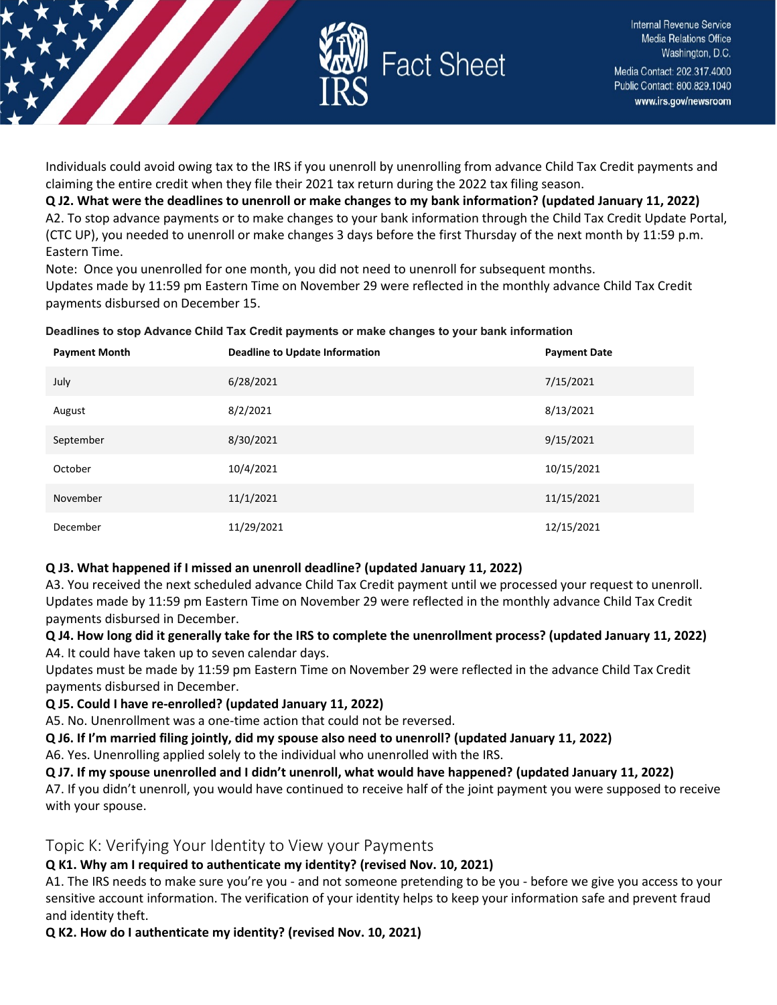

Individuals could avoid owing tax to the IRS if you unenroll by unenrolling from advance Child Tax Credit payments and claiming the entire credit when they file their 2021 tax return during the 2022 tax filing season.

**Q J2. What were the deadlines to unenroll or make changes to my bank information? (updated January 11, 2022)** A2. To stop advance payments or to make changes to your bank information through the Child Tax Credit Update Portal, (CTC UP), you needed to unenroll or make changes 3 days before the first Thursday of the next month by 11:59 p.m. Eastern Time.

Note: Once you unenrolled for one month, you did not need to unenroll for subsequent months.

Updates made by 11:59 pm Eastern Time on November 29 were reflected in the monthly advance Child Tax Credit payments disbursed on December 15.

**Deadlines to stop Advance Child Tax Credit payments or make changes to your bank information**

| <b>Payment Month</b> | <b>Deadline to Update Information</b> | <b>Payment Date</b> |
|----------------------|---------------------------------------|---------------------|
| July                 | 6/28/2021                             | 7/15/2021           |
| August               | 8/2/2021                              | 8/13/2021           |
| September            | 8/30/2021                             | 9/15/2021           |
| October              | 10/4/2021                             | 10/15/2021          |
| November             | 11/1/2021                             | 11/15/2021          |
| December             | 11/29/2021                            | 12/15/2021          |

#### **Q J3. What happened if I missed an unenroll deadline? (updated January 11, 2022)**

A3. You received the next scheduled advance Child Tax Credit payment until we processed your request to unenroll. Updates made by 11:59 pm Eastern Time on November 29 were reflected in the monthly advance Child Tax Credit payments disbursed in December.

**Q J4. How long did it generally take for the IRS to complete the unenrollment process? (updated January 11, 2022)** A4. It could have taken up to seven calendar days.

Updates must be made by 11:59 pm Eastern Time on November 29 were reflected in the advance Child Tax Credit payments disbursed in December.

**Q J5. Could I have re-enrolled? (updated January 11, 2022)**

A5. No. Unenrollment was a one-time action that could not be reversed.

**Q J6. If I'm married filing jointly, did my spouse also need to unenroll? (updated January 11, 2022)** 

A6. Yes. Unenrolling applied solely to the individual who unenrolled with the IRS.

**Q J7. If my spouse unenrolled and I didn't unenroll, what would have happened? (updated January 11, 2022)**

A7. If you didn't unenroll, you would have continued to receive half of the joint payment you were supposed to receive with your spouse.

<span id="page-16-0"></span>Topic K: Verifying Your Identity to View your Payments

## **Q K1. Why am I required to authenticate my identity? (revised Nov. 10, 2021)**

A1. The IRS needs to make sure you're you - and not someone pretending to be you - before we give you access to your sensitive account information. The verification of your identity helps to keep your information safe and prevent fraud and identity theft.

**Q K2. How do I authenticate my identity? (revised Nov. 10, 2021)**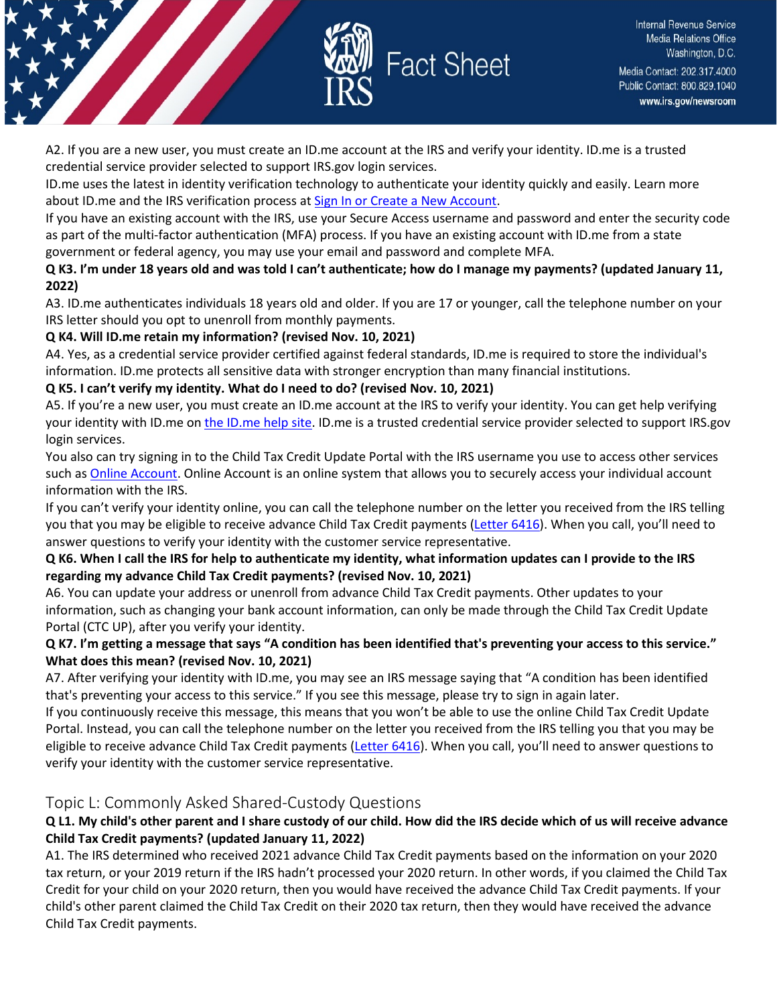

A2. If you are a new user, you must create an ID.me account at the IRS and verify your identity. ID.me is a trusted credential service provider selected to support IRS.gov login services.

ID.me uses the latest in identity verification technology to authenticate your identity quickly and easily. Learn more about ID.me and the IRS verification process at [Sign In or Create a New Account.](https://sa.www4.irs.gov/secureaccess/ui/?TYPE=33554433&REALMOID=06-0005eaac-e22a-10b8-928e-7c2b0ad00000&GUID=&SMAUTHREASON=0&METHOD=GET&SMAGENTNAME=-SM-u0ktItgVFneUJDzkQ7tjvLYXyclDooCJJ7%2bjXGjg3YC5id2x9riHE98hoVgd1BBv&TARGET=-SM-http%3a%2f%2fsa%2ewww4%2eirs%2egov%2fctc%2f)

If you have an existing account with the IRS, use your Secure Access username and password and enter the security code as part of the multi-factor authentication (MFA) process. If you have an existing account with ID.me from a state government or federal agency, you may use your email and password and complete MFA.

### **Q K3. I'm under 18 years old and was told I can't authenticate; how do I manage my payments? (updated January 11, 2022)**

A3. ID.me authenticates individuals 18 years old and older. If you are 17 or younger, call the telephone number on your IRS letter should you opt to unenroll from monthly payments.

## **Q K4. Will ID.me retain my information? (revised Nov. 10, 2021)**

A4. Yes, as a credential service provider certified against federal standards, ID.me is required to store the individual's information. ID.me protects all sensitive data with stronger encryption than many financial institutions.

## **Q K5. I can't verify my identity. What do I need to do? (revised Nov. 10, 2021)**

A5. If you're a new user, you must create an ID.me account at the IRS to verify your identity. You can get help verifying your identity with ID.me on [the ID.me help site.](https://help.id.me/hc/en-us/categories/1500002213102) ID.me is a trusted credential service provider selected to support IRS.gov login services.

You also can try signing in to the Child Tax Credit Update Portal with the IRS username you use to access other services such as [Online Account.](https://www.irs.gov/payments/view-your-tax-account) Online Account is an online system that allows you to securely access your individual account information with the IRS.

If you can't verify your identity online, you can call the telephone number on the letter you received from the IRS telling you that you may be eligible to receive advance Child Tax Credit payments [\(Letter 6416\)](https://www.irs.gov/pub/irs-utl/l6416sample.pdf). When you call, you'll need to answer questions to verify your identity with the customer service representative.

## **Q K6. When I call the IRS for help to authenticate my identity, what information updates can I provide to the IRS regarding my advance Child Tax Credit payments? (revised Nov. 10, 2021)**

A6. You can update your address or unenroll from advance Child Tax Credit payments. Other updates to your information, such as changing your bank account information, can only be made through the Child Tax Credit Update Portal (CTC UP), after you verify your identity.

### **Q K7. I'm getting a message that says "A condition has been identified that's preventing your access to this service." What does this mean? (revised Nov. 10, 2021)**

A7. After verifying your identity with ID.me, you may see an IRS message saying that "A condition has been identified that's preventing your access to this service." If you see this message, please try to sign in again later.

If you continuously receive this message, this means that you won't be able to use the online Child Tax Credit Update Portal. Instead, you can call the telephone number on the letter you received from the IRS telling you that you may be eligible to receive advance Child Tax Credit payments [\(Letter 6416\)](https://www.irs.gov/pub/irs-utl/l6416sample.pdf). When you call, you'll need to answer questions to verify your identity with the customer service representative.

## <span id="page-17-0"></span>Topic L: Commonly Asked Shared-Custody Questions

## **Q L1. My child's other parent and I share custody of our child. How did the IRS decide which of us will receive advance Child Tax Credit payments? (updated January 11, 2022)**

A1. The IRS determined who received 2021 advance Child Tax Credit payments based on the information on your 2020 tax return, or your 2019 return if the IRS hadn't processed your 2020 return. In other words, if you claimed the Child Tax Credit for your child on your 2020 return, then you would have received the advance Child Tax Credit payments. If your child's other parent claimed the Child Tax Credit on their 2020 tax return, then they would have received the advance Child Tax Credit payments.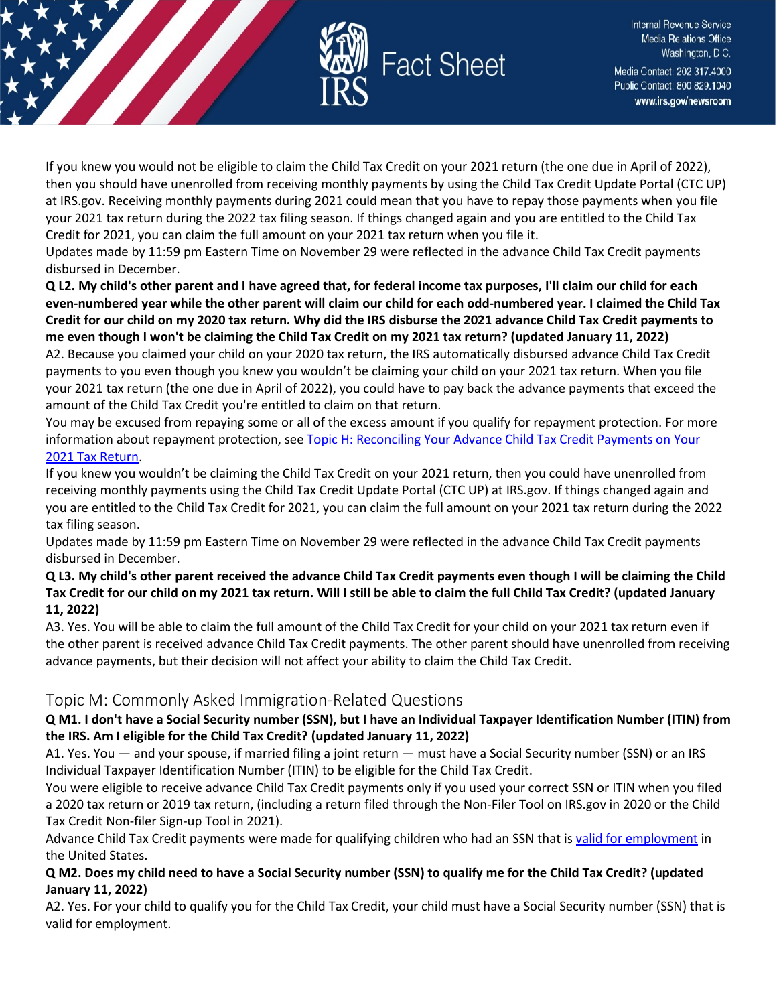

If you knew you would not be eligible to claim the Child Tax Credit on your 2021 return (the one due in April of 2022), then you should have unenrolled from receiving monthly payments by using the Child Tax Credit Update Portal (CTC UP) at IRS.gov. Receiving monthly payments during 2021 could mean that you have to repay those payments when you file your 2021 tax return during the 2022 tax filing season. If things changed again and you are entitled to the Child Tax Credit for 2021, you can claim the full amount on your 2021 tax return when you file it.

Updates made by 11:59 pm Eastern Time on November 29 were reflected in the advance Child Tax Credit payments disbursed in December.

**Q L2. My child's other parent and I have agreed that, for federal income tax purposes, I'll claim our child for each even-numbered year while the other parent will claim our child for each odd-numbered year. I claimed the Child Tax Credit for our child on my 2020 tax return. Why did the IRS disburse the 2021 advance Child Tax Credit payments to me even though I won't be claiming the Child Tax Credit on my 2021 tax return? (updated January 11, 2022)**

A2. Because you claimed your child on your 2020 tax return, the IRS automatically disbursed advance Child Tax Credit payments to you even though you knew you wouldn't be claiming your child on your 2021 tax return. When you file your 2021 tax return (the one due in April of 2022), you could have to pay back the advance payments that exceed the amount of the Child Tax Credit you're entitled to claim on that return.

You may be excused from repaying some or all of the excess amount if you qualify for repayment protection. For more information about repayment protection, see Topic H: Reconciling Your Advance Child Tax Credit Payments on Your [2021 Tax Return.](https://www.irs.gov/credits-deductions/2021-child-tax-credit-and-advance-child-tax-credit-payments-topic-h-reconciling-your-advance-child-tax-credit-payments-on-your-2021-tax-return)

If you knew you wouldn't be claiming the Child Tax Credit on your 2021 return, then you could have unenrolled from receiving monthly payments using the Child Tax Credit Update Portal (CTC UP) at IRS.gov. If things changed again and you are entitled to the Child Tax Credit for 2021, you can claim the full amount on your 2021 tax return during the 2022 tax filing season.

Updates made by 11:59 pm Eastern Time on November 29 were reflected in the advance Child Tax Credit payments disbursed in December.

#### **Q L3. My child's other parent received the advance Child Tax Credit payments even though I will be claiming the Child Tax Credit for our child on my 2021 tax return. Will I still be able to claim the full Child Tax Credit? (updated January 11, 2022)**

A3. Yes. You will be able to claim the full amount of the Child Tax Credit for your child on your 2021 tax return even if the other parent is received advance Child Tax Credit payments. The other parent should have unenrolled from receiving advance payments, but their decision will not affect your ability to claim the Child Tax Credit.

## <span id="page-18-0"></span>Topic M: Commonly Asked Immigration-Related Questions

### **Q M1. I don't have a Social Security number (SSN), but I have an Individual Taxpayer Identification Number (ITIN) from the IRS. Am I eligible for the Child Tax Credit? (updated January 11, 2022)**

A1. Yes. You — and your spouse, if married filing a joint return — must have a Social Security number (SSN) or an IRS Individual Taxpayer Identification Number (ITIN) to be eligible for the Child Tax Credit.

You were eligible to receive advance Child Tax Credit payments only if you used your correct SSN or ITIN when you filed a 2020 tax return or 2019 tax return, (including a return filed through the Non-Filer Tool on IRS.gov in 2020 or the Child Tax Credit Non-filer Sign-up Tool in 2021).

Advance Child Tax Credit payments were made for qualifying children who had an SSN that is [valid for employment](https://www.irs.gov/credits-deductions/2021-child-tax-credit-and-advance-child-tax-credit-payments-topic-n-commonly-asked-immigration-related-questions#n3) in the United States.

### **Q M2. Does my child need to have a Social Security number (SSN) to qualify me for the Child Tax Credit? (updated January 11, 2022)**

A2. Yes. For your child to qualify you for the Child Tax Credit, your child must have a Social Security number (SSN) that is valid for employment.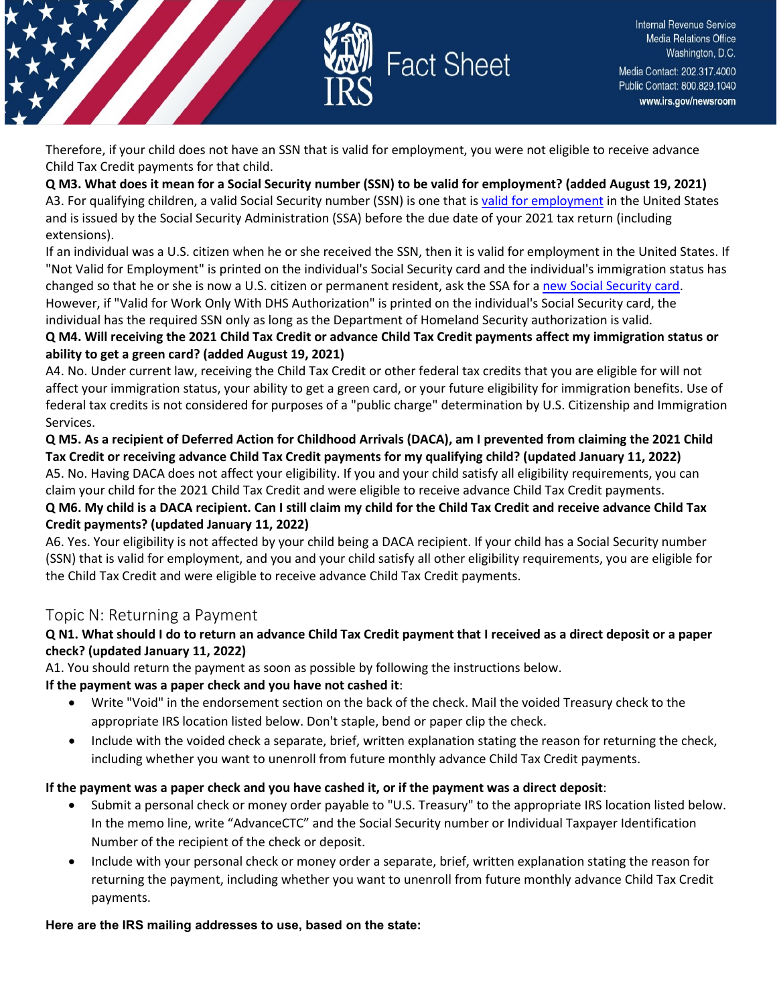

Therefore, if your child does not have an SSN that is valid for employment, you were not eligible to receive advance Child Tax Credit payments for that child.

**Q M3. What does it mean for a Social Security number (SSN) to be valid for employment? (added August 19, 2021)** A3. For qualifying children, a valid Social Security number (SSN) is one that i[s valid for employment](https://www.irs.gov/credits-deductions/2021-child-tax-credit-and-advance-child-tax-credit-payments-topic-n-commonly-asked-immigration-related-questions#n3) in the United States and is issued by the Social Security Administration (SSA) before the due date of your 2021 tax return (including extensions).

If an individual was a U.S. citizen when he or she received the SSN, then it is valid for employment in the United States. If "Not Valid for Employment" is printed on the individual's Social Security card and the individual's immigration status has changed so that he or she is now a U.S. citizen or permanent resident, ask the SSA for [a new Social Security card.](https://www.ssa.gov/ssnumber/) However, if "Valid for Work Only With DHS Authorization" is printed on the individual's Social Security card, the

individual has the required SSN only as long as the Department of Homeland Security authorization is valid.

## **Q M4. Will receiving the 2021 Child Tax Credit or advance Child Tax Credit payments affect my immigration status or ability to get a green card? (added August 19, 2021)**

A4. No. Under current law, receiving the Child Tax Credit or other federal tax credits that you are eligible for will not affect your immigration status, your ability to get a green card, or your future eligibility for immigration benefits. Use of federal tax credits is not considered for purposes of a "public charge" determination by U.S. Citizenship and Immigration Services.

**Q M5. As a recipient of Deferred Action for Childhood Arrivals (DACA), am I prevented from claiming the 2021 Child Tax Credit or receiving advance Child Tax Credit payments for my qualifying child? (updated January 11, 2022)** A5. No. Having DACA does not affect your eligibility. If you and your child satisfy all eligibility requirements, you can claim your child for the 2021 Child Tax Credit and were eligible to receive advance Child Tax Credit payments.

## **Q M6. My child is a DACA recipient. Can I still claim my child for the Child Tax Credit and receive advance Child Tax Credit payments? (updated January 11, 2022)**

A6. Yes. Your eligibility is not affected by your child being a DACA recipient. If your child has a Social Security number (SSN) that is valid for employment, and you and your child satisfy all other eligibility requirements, you are eligible for the Child Tax Credit and were eligible to receive advance Child Tax Credit payments.

## <span id="page-19-0"></span>Topic N: Returning a Payment

## **Q N1. What should I do to return an advance Child Tax Credit payment that I received as a direct deposit or a paper check? (updated January 11, 2022)**

A1. You should return the payment as soon as possible by following the instructions below.

## **If the payment was a paper check and you have not cashed it**:

- Write "Void" in the endorsement section on the back of the check. Mail the voided Treasury check to the appropriate IRS location listed below. Don't staple, bend or paper clip the check.
- Include with the voided check a separate, brief, written explanation stating the reason for returning the check, including whether you want to unenroll from future monthly advance Child Tax Credit payments.

## **If the payment was a paper check and you have cashed it, or if the payment was a direct deposit**:

- Submit a personal check or money order payable to "U.S. Treasury" to the appropriate IRS location listed below. In the memo line, write "AdvanceCTC" and the Social Security number or Individual Taxpayer Identification Number of the recipient of the check or deposit.
- Include with your personal check or money order a separate, brief, written explanation stating the reason for returning the payment, including whether you want to unenroll from future monthly advance Child Tax Credit payments.

#### **Here are the IRS mailing addresses to use, based on the state:**